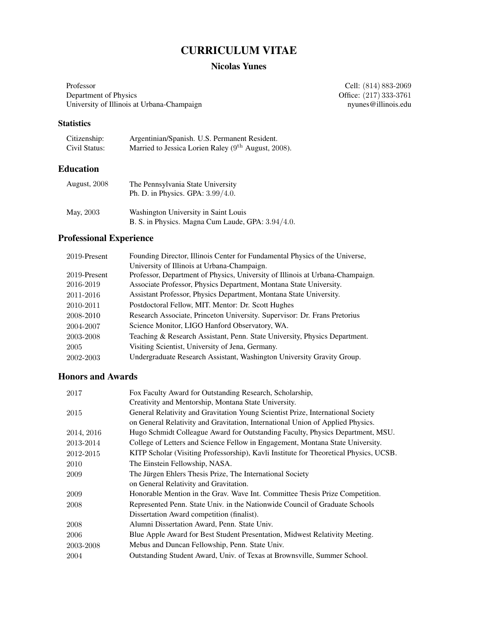# CURRICULUM VITAE

## Nicolas Yunes

Professor<br>
Cell: (814) 883-2069<br>
Office: (217) 333-3761<br>
Cell: (814) 883-2069 University of Illinois at Urbana-Champaign

Office:  $(217)$  333-3761<br>nyunes@illinois.edu

## **Statistics**

| Citizenship:  | Argentinian/Spanish. U.S. Permanent Resident.         |
|---------------|-------------------------------------------------------|
| Civil Status: | Married to Jessica Lorien Raley $(9th$ August, 2008). |

# Education

| August, 2008 | The Pennsylvania State University<br>Ph. D. in Physics. GPA: $3.99/4.0$ .                 |
|--------------|-------------------------------------------------------------------------------------------|
| May, 2003    | Washington University in Saint Louis<br>B. S. in Physics. Magna Cum Laude, GPA: 3.94/4.0. |

# Professional Experience

| 2019-Present | Founding Director, Illinois Center for Fundamental Physics of the Universe,   |
|--------------|-------------------------------------------------------------------------------|
|              | University of Illinois at Urbana-Champaign.                                   |
| 2019-Present | Professor, Department of Physics, University of Illinois at Urbana-Champaign. |
| 2016-2019    | Associate Professor, Physics Department, Montana State University.            |
| 2011-2016    | Assistant Professor, Physics Department, Montana State University.            |
| 2010-2011    | Postdoctoral Fellow, MIT. Mentor: Dr. Scott Hughes                            |
| 2008-2010    | Research Associate, Princeton University. Supervisor: Dr. Frans Pretorius     |
| 2004-2007    | Science Monitor, LIGO Hanford Observatory, WA.                                |
| 2003-2008    | Teaching & Research Assistant, Penn. State University, Physics Department.    |
| 2005         | Visiting Scientist, University of Jena, Germany.                              |
| 2002-2003    | Undergraduate Research Assistant, Washington University Gravity Group.        |

## Honors and Awards

| 2017       | Fox Faculty Award for Outstanding Research, Scholarship,                              |
|------------|---------------------------------------------------------------------------------------|
|            | Creativity and Mentorship, Montana State University.                                  |
| 2015       | General Relativity and Gravitation Young Scientist Prize, International Society       |
|            | on General Relativity and Gravitation, International Union of Applied Physics.        |
| 2014, 2016 | Hugo Schmidt Colleague Award for Outstanding Faculty, Physics Department, MSU.        |
| 2013-2014  | College of Letters and Science Fellow in Engagement, Montana State University.        |
| 2012-2015  | KITP Scholar (Visiting Professorship), Kavli Institute for Theoretical Physics, UCSB. |
| 2010       | The Einstein Fellowship, NASA.                                                        |
| 2009       | The Jürgen Ehlers Thesis Prize, The International Society                             |
|            | on General Relativity and Gravitation.                                                |
| 2009       | Honorable Mention in the Grav. Wave Int. Committee Thesis Prize Competition.          |
| 2008       | Represented Penn. State Univ. in the Nationwide Council of Graduate Schools           |
|            | Dissertation Award competition (finalist).                                            |
| 2008       | Alumni Dissertation Award, Penn. State Univ.                                          |
| 2006       | Blue Apple Award for Best Student Presentation, Midwest Relativity Meeting.           |
| 2003-2008  | Mebus and Duncan Fellowship, Penn. State Univ.                                        |
| 2004       | Outstanding Student Award, Univ. of Texas at Brownsville, Summer School.              |
|            |                                                                                       |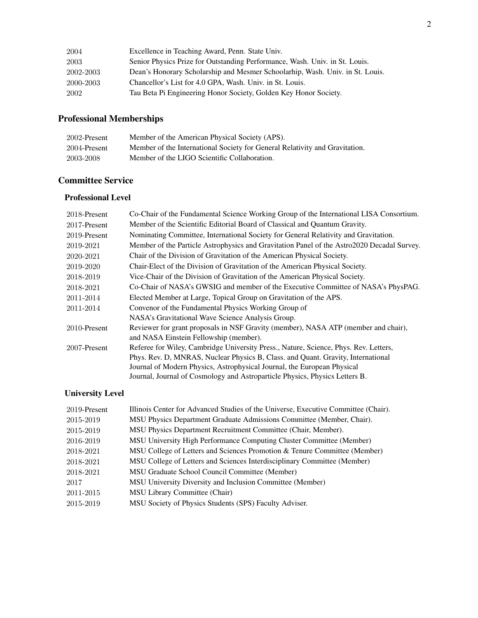| Excellence in Teaching Award, Penn. State Univ.                               |
|-------------------------------------------------------------------------------|
| Senior Physics Prize for Outstanding Performance, Wash. Univ. in St. Louis.   |
| Dean's Honorary Scholarship and Mesmer Schoolarhip, Wash. Univ. in St. Louis. |
| Chancellor's List for 4.0 GPA, Wash. Univ. in St. Louis.                      |
| Tau Beta Pi Engineering Honor Society, Golden Key Honor Society.              |
|                                                                               |

# Professional Memberships

| 2002-Present | Member of the American Physical Society (APS).                              |
|--------------|-----------------------------------------------------------------------------|
| 2004-Present | Member of the International Society for General Relativity and Gravitation. |
| 2003-2008    | Member of the LIGO Scientific Collaboration.                                |

## Committee Service

## Professional Level

| 2018-Present | Co-Chair of the Fundamental Science Working Group of the International LISA Consortium.    |
|--------------|--------------------------------------------------------------------------------------------|
| 2017-Present | Member of the Scientific Editorial Board of Classical and Quantum Gravity.                 |
| 2019-Present | Nominating Committee, International Society for General Relativity and Gravitation.        |
| 2019-2021    | Member of the Particle Astrophysics and Gravitation Panel of the Astro2020 Decadal Survey. |
| 2020-2021    | Chair of the Division of Gravitation of the American Physical Society.                     |
| 2019-2020    | Chair-Elect of the Division of Gravitation of the American Physical Society.               |
| 2018-2019    | Vice-Chair of the Division of Gravitation of the American Physical Society.                |
| 2018-2021    | Co-Chair of NASA's GWSIG and member of the Executive Committee of NASA's PhysPAG.          |
| 2011-2014    | Elected Member at Large, Topical Group on Gravitation of the APS.                          |
| 2011-2014    | Convenor of the Fundamental Physics Working Group of                                       |
|              | NASA's Gravitational Wave Science Analysis Group.                                          |
| 2010-Present | Reviewer for grant proposals in NSF Gravity (member), NASA ATP (member and chair),         |
|              | and NASA Einstein Fellowship (member).                                                     |
| 2007-Present | Referee for Wiley, Cambridge University Press., Nature, Science, Phys. Rev. Letters,       |
|              | Phys. Rev. D, MNRAS, Nuclear Physics B, Class. and Quant. Gravity, International           |
|              | Journal of Modern Physics, Astrophysical Journal, the European Physical                    |
|              | Journal, Journal of Cosmology and Astroparticle Physics, Physics Letters B.                |

# University Level

| 2019-Present | Illinois Center for Advanced Studies of the Universe, Executive Committee (Chair). |
|--------------|------------------------------------------------------------------------------------|
| 2015-2019    | MSU Physics Department Graduate Admissions Committee (Member, Chair).              |
| 2015-2019    | MSU Physics Department Recruitment Committee (Chair, Member).                      |
| 2016-2019    | MSU University High Performance Computing Cluster Committee (Member)               |
| 2018-2021    | MSU College of Letters and Sciences Promotion & Tenure Committee (Member)          |
| 2018-2021    | MSU College of Letters and Sciences Interdisciplinary Committee (Member)           |
| 2018-2021    | MSU Graduate School Council Committee (Member)                                     |
| 2017         | MSU University Diversity and Inclusion Committee (Member)                          |
| 2011-2015    | MSU Library Committee (Chair)                                                      |
| 2015-2019    | MSU Society of Physics Students (SPS) Faculty Adviser.                             |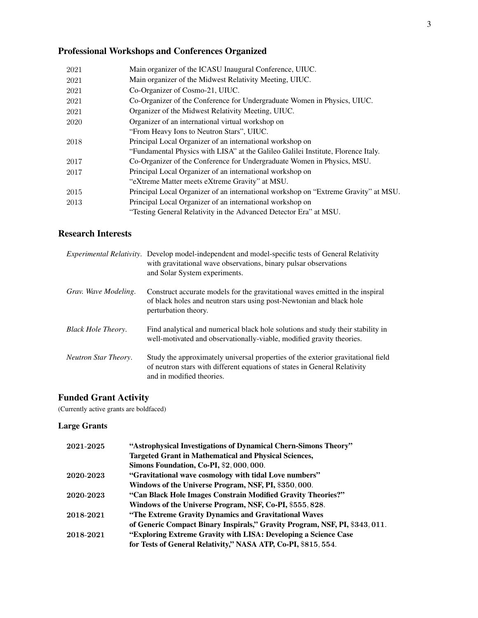# Professional Workshops and Conferences Organized

| 2021 | Main organizer of the ICASU Inaugural Conference, UIUC.                             |
|------|-------------------------------------------------------------------------------------|
| 2021 | Main organizer of the Midwest Relativity Meeting, UIUC.                             |
| 2021 | Co-Organizer of Cosmo-21, UIUC.                                                     |
| 2021 | Co-Organizer of the Conference for Undergraduate Women in Physics, UIUC.            |
| 2021 | Organizer of the Midwest Relativity Meeting, UIUC.                                  |
| 2020 | Organizer of an international virtual workshop on                                   |
|      | "From Heavy Ions to Neutron Stars", UIUC.                                           |
| 2018 | Principal Local Organizer of an international workshop on                           |
|      | "Fundamental Physics with LISA" at the Galileo Galilei Institute, Florence Italy.   |
| 2017 | Co-Organizer of the Conference for Undergraduate Women in Physics, MSU.             |
| 2017 | Principal Local Organizer of an international workshop on                           |
|      | "eXtreme Matter meets eXtreme Gravity" at MSU.                                      |
| 2015 | Principal Local Organizer of an international workshop on "Extreme Gravity" at MSU. |
| 2013 | Principal Local Organizer of an international workshop on                           |
|      | "Testing General Relativity in the Advanced Detector Era" at MSU.                   |
|      |                                                                                     |

## Research Interests

|                           | <i>Experimental Relativity.</i> Develop model-independent and model-specific tests of General Relativity<br>with gravitational wave observations, binary pulsar observations<br>and Solar System experiments. |
|---------------------------|---------------------------------------------------------------------------------------------------------------------------------------------------------------------------------------------------------------|
| Grav. Wave Modeling.      | Construct accurate models for the gravitational waves emitted in the inspiral<br>of black holes and neutron stars using post-Newtonian and black hole<br>perturbation theory.                                 |
| <b>Black Hole Theory.</b> | Find analytical and numerical black hole solutions and study their stability in<br>well-motivated and observationally-viable, modified gravity theories.                                                      |
| Neutron Star Theory.      | Study the approximately universal properties of the exterior gravitational field<br>of neutron stars with different equations of states in General Relativity<br>and in modified theories.                    |

# Funded Grant Activity

(Currently active grants are boldfaced)

# Large Grants

| 2021-2025 | "Astrophysical Investigations of Dynamical Chern-Simons Theory"             |
|-----------|-----------------------------------------------------------------------------|
|           | <b>Targeted Grant in Mathematical and Physical Sciences,</b>                |
|           | Simons Foundation, Co-PI, \$2,000,000.                                      |
| 2020-2023 | "Gravitational wave cosmology with tidal Love numbers"                      |
|           | Windows of the Universe Program, NSF, PI, \$350, 000.                       |
| 2020-2023 | "Can Black Hole Images Constrain Modified Gravity Theories?"                |
|           | Windows of the Universe Program, NSF, Co-PI, \$555, 828.                    |
| 2018-2021 | "The Extreme Gravity Dynamics and Gravitational Waves                       |
|           | of Generic Compact Binary Inspirals," Gravity Program, NSF, PI, \$343, 011. |
| 2018-2021 | "Exploring Extreme Gravity with LISA: Developing a Science Case"            |
|           | for Tests of General Relativity," NASA ATP, Co-PI, \$815, 554.              |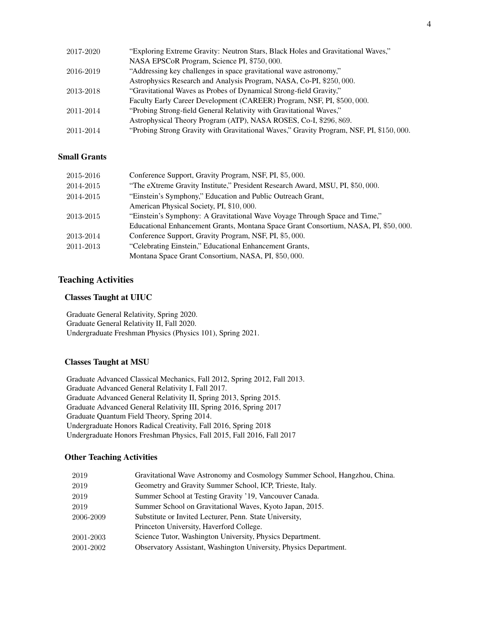| 2017-2020 | "Exploring Extreme Gravity: Neutron Stars, Black Holes and Gravitational Waves,"        |
|-----------|-----------------------------------------------------------------------------------------|
|           | NASA EPSCoR Program, Science PI, \$750,000.                                             |
| 2016-2019 | "Addressing key challenges in space gravitational wave astronomy,"                      |
|           | Astrophysics Research and Analysis Program, NASA, Co-PI, \$250,000.                     |
| 2013-2018 | "Gravitational Waves as Probes of Dynamical Strong-field Gravity,"                      |
|           | Faculty Early Career Development (CAREER) Program, NSF, PI, \$500, 000.                 |
| 2011-2014 | "Probing Strong-field General Relativity with Gravitational Waves,"                     |
|           | Astrophysical Theory Program (ATP), NASA ROSES, Co-I, \$296, 869.                       |
| 2011-2014 | "Probing Strong Gravity with Gravitational Waves," Gravity Program, NSF, PI, \$150,000. |

### Small Grants

| 2015-2016 | Conference Support, Gravity Program, NSF, PI, \$5,000.                              |
|-----------|-------------------------------------------------------------------------------------|
| 2014-2015 | "The eXtreme Gravity Institute," President Research Award, MSU, PI, \$50,000.       |
| 2014-2015 | "Einstein's Symphony," Education and Public Outreach Grant,                         |
|           | American Physical Society, PI, \$10,000.                                            |
| 2013-2015 | "Einstein's Symphony: A Gravitational Wave Voyage Through Space and Time,"          |
|           | Educational Enhancement Grants, Montana Space Grant Consortium, NASA, PI, \$50,000. |
| 2013-2014 | Conference Support, Gravity Program, NSF, PI, \$5,000.                              |
| 2011-2013 | "Celebrating Einstein," Educational Enhancement Grants,                             |
|           | Montana Space Grant Consortium, NASA, PI, \$50,000.                                 |
|           |                                                                                     |

### Teaching Activities

#### Classes Taught at UIUC

Graduate General Relativity, Spring 2020. Graduate General Relativity II, Fall 2020. Undergraduate Freshman Physics (Physics 101), Spring 2021.

#### Classes Taught at MSU

Graduate Advanced Classical Mechanics, Fall 2012, Spring 2012, Fall 2013. Graduate Advanced General Relativity I, Fall 2017. Graduate Advanced General Relativity II, Spring 2013, Spring 2015. Graduate Advanced General Relativity III, Spring 2016, Spring 2017 Graduate Quantum Field Theory, Spring 2014. Undergraduate Honors Radical Creativity, Fall 2016, Spring 2018 Undergraduate Honors Freshman Physics, Fall 2015, Fall 2016, Fall 2017

### Other Teaching Activities

| 2019      | Gravitational Wave Astronomy and Cosmology Summer School, Hangzhou, China. |
|-----------|----------------------------------------------------------------------------|
| 2019      | Geometry and Gravity Summer School, ICP, Trieste, Italy.                   |
| 2019      | Summer School at Testing Gravity '19, Vancouver Canada.                    |
| 2019      | Summer School on Gravitational Waves, Kyoto Japan, 2015.                   |
| 2006-2009 | Substitute or Invited Lecturer, Penn. State University,                    |
|           | Princeton University, Haverford College.                                   |
| 2001-2003 | Science Tutor, Washington University, Physics Department.                  |
| 2001-2002 | Observatory Assistant, Washington University, Physics Department.          |
|           |                                                                            |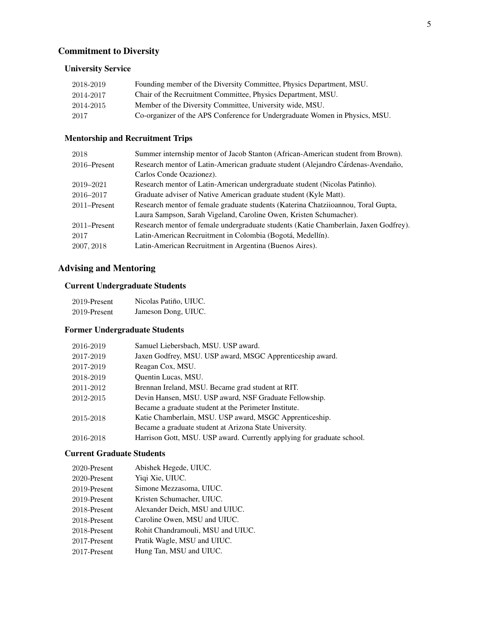# Commitment to Diversity

## University Service

| 2018-2019 | Founding member of the Diversity Committee, Physics Department, MSU.        |
|-----------|-----------------------------------------------------------------------------|
| 2014-2017 | Chair of the Recruitment Committee, Physics Department, MSU.                |
| 2014-2015 | Member of the Diversity Committee, University wide, MSU.                    |
| 2017      | Co-organizer of the APS Conference for Undergraduate Women in Physics, MSU. |

## Mentorship and Recruitment Trips

| 2018         | Summer internship mentor of Jacob Stanton (African-American student from Brown).     |
|--------------|--------------------------------------------------------------------------------------|
| 2016–Present | Research mentor of Latin-American graduate student (Alejandro Cárdenas-Avendaño,     |
|              | Carlos Conde Ocazionez).                                                             |
| 2019–2021    | Research mentor of Latin-American undergraduate student (Nicolas Patinño).           |
| 2016–2017    | Graduate adviser of Native American graduate student (Kyle Matt).                    |
| 2011–Present | Research mentor of female graduate students (Katerina Chatziioannou, Toral Gupta,    |
|              | Laura Sampson, Sarah Vigeland, Caroline Owen, Kristen Schumacher).                   |
| 2011–Present | Research mentor of female undergraduate students (Katie Chamberlain, Jaxen Godfrey). |
| 2017         | Latin-American Recruitment in Colombia (Bogotá, Medellín).                           |
| 2007, 2018   | Latin-American Recruitment in Argentina (Buenos Aires).                              |

# Advising and Mentoring

## Current Undergraduate Students

| 2019-Present | Nicolas Patiño, UIUC. |
|--------------|-----------------------|
| 2019-Present | Jameson Dong, UIUC.   |

## Former Undergraduate Students

| 2016-2019 | Samuel Liebersbach, MSU. USP award.                                    |
|-----------|------------------------------------------------------------------------|
| 2017-2019 | Jaxen Godfrey, MSU. USP award, MSGC Apprenticeship award.              |
| 2017-2019 | Reagan Cox, MSU.                                                       |
| 2018-2019 | Quentin Lucas, MSU.                                                    |
| 2011-2012 | Brennan Ireland, MSU. Became grad student at RIT.                      |
| 2012-2015 | Devin Hansen, MSU. USP award, NSF Graduate Fellowship.                 |
|           | Became a graduate student at the Perimeter Institute.                  |
| 2015-2018 | Katie Chamberlain, MSU. USP award, MSGC Apprenticeship.                |
|           | Became a graduate student at Arizona State University.                 |
| 2016-2018 | Harrison Gott, MSU. USP award. Currently applying for graduate school. |
|           |                                                                        |

#### Current Graduate Students

| 2020-Present | Abishek Hegede, UIUC.             |
|--------------|-----------------------------------|
| 2020-Present | Yiqi Xie, UIUC.                   |
| 2019-Present | Simone Mezzasoma, UIUC.           |
| 2019-Present | Kristen Schumacher, UIUC.         |
| 2018-Present | Alexander Deich, MSU and UIUC.    |
| 2018-Present | Caroline Owen, MSU and UIUC.      |
| 2018-Present | Rohit Chandramouli, MSU and UIUC. |
| 2017-Present | Pratik Wagle, MSU and UIUC.       |
| 2017-Present | Hung Tan, MSU and UIUC.           |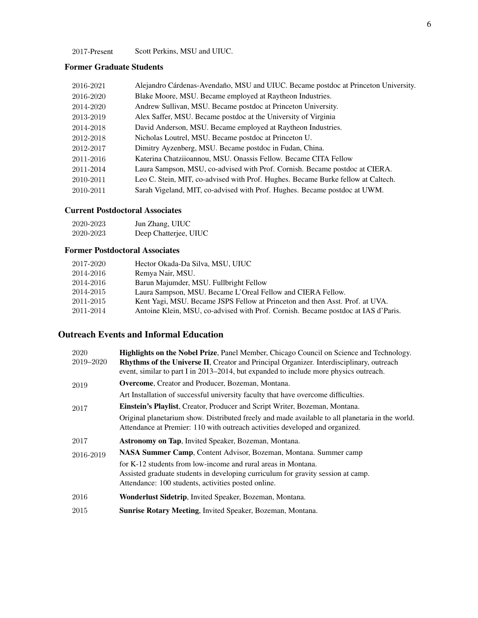-Present Scott Perkins, MSU and UIUC.

### Former Graduate Students

| 2016-2021 | Alejandro Cárdenas-Avendaño, MSU and UIUC. Became postdoc at Princeton University. |
|-----------|------------------------------------------------------------------------------------|
| 2016-2020 | Blake Moore, MSU. Became employed at Raytheon Industries.                          |
| 2014-2020 | Andrew Sullivan, MSU. Became postdoc at Princeton University.                      |
| 2013-2019 | Alex Saffer, MSU. Became postdoc at the University of Virginia                     |
| 2014-2018 | David Anderson, MSU. Became employed at Raytheon Industries.                       |
| 2012-2018 | Nicholas Loutrel, MSU. Became postdoc at Princeton U.                              |
| 2012-2017 | Dimitry Ayzenberg, MSU. Became postdoc in Fudan, China.                            |
| 2011-2016 | Katerina Chatziioannou, MSU. Onassis Fellow. Became CITA Fellow                    |
| 2011-2014 | Laura Sampson, MSU, co-advised with Prof. Cornish. Became postdoc at CIERA.        |
| 2010-2011 | Leo C. Stein, MIT, co-advised with Prof. Hughes. Became Burke fellow at Caltech.   |
| 2010-2011 | Sarah Vigeland, MIT, co-advised with Prof. Hughes. Became postdoc at UWM.          |

### Current Postdoctoral Associates

| 2020-2023 | Jun Zhang, UIUC       |
|-----------|-----------------------|
| 2020-2023 | Deep Chatterjee, UIUC |

### Former Postdoctoral Associates

| 2017-2020 | Hector Okada-Da Silva, MSU, UIUC                                                  |
|-----------|-----------------------------------------------------------------------------------|
| 2014-2016 | Remya Nair, MSU.                                                                  |
| 2014-2016 | Barun Majumder, MSU. Fullbright Fellow                                            |
| 2014-2015 | Laura Sampson, MSU. Became L'Oreal Fellow and CIERA Fellow.                       |
| 2011-2015 | Kent Yagi, MSU. Became JSPS Fellow at Princeton and then Asst. Prof. at UVA.      |
| 2011-2014 | Antoine Klein, MSU, co-advised with Prof. Cornish. Became postdoc at IAS d'Paris. |

# Outreach Events and Informal Education

| 2020      | <b>Highlights on the Nobel Prize, Panel Member, Chicago Council on Science and Technology.</b>                                                                                   |
|-----------|----------------------------------------------------------------------------------------------------------------------------------------------------------------------------------|
| 2019-2020 | <b>Rhythms of the Universe II, Creator and Principal Organizer. Interdisciplinary, outreach</b>                                                                                  |
|           | event, similar to part I in 2013–2014, but expanded to include more physics outreach.                                                                                            |
| 2019      | <b>Overcome, Creator and Producer, Bozeman, Montana.</b>                                                                                                                         |
|           | Art Installation of successful university faculty that have overcome difficulties.                                                                                               |
| 2017      | Einstein's Playlist, Creator, Producer and Script Writer, Bozeman, Montana.                                                                                                      |
|           | Original planetarium show. Distributed freely and made available to all planetaria in the world.<br>Attendance at Premier: 110 with outreach activities developed and organized. |
| 2017      | <b>Astronomy on Tap, Invited Speaker, Bozeman, Montana.</b>                                                                                                                      |
| 2016-2019 | <b>NASA Summer Camp, Content Advisor, Bozeman, Montana. Summer camp</b>                                                                                                          |
|           | for K-12 students from low-income and rural areas in Montana.                                                                                                                    |
|           | Assisted graduate students in developing curriculum for gravity session at camp.                                                                                                 |
|           | Attendance: 100 students, activities posted online.                                                                                                                              |
| 2016      | Wonderlust Sidetrip, Invited Speaker, Bozeman, Montana.                                                                                                                          |
| 2015      | <b>Sunrise Rotary Meeting, Invited Speaker, Bozeman, Montana.</b>                                                                                                                |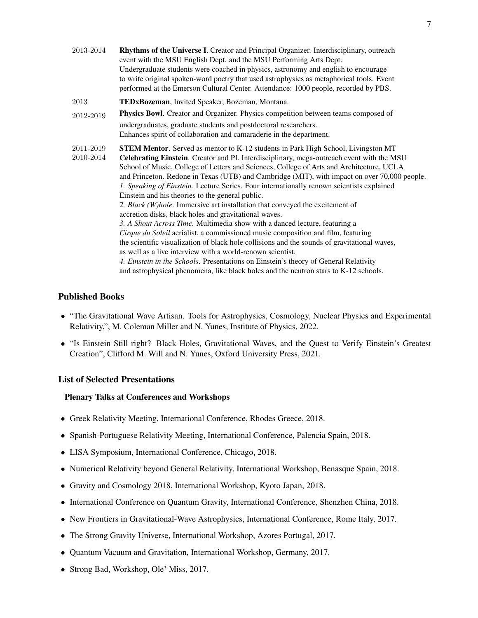| 2013-2014              | <b>Rhythms of the Universe I.</b> Creator and Principal Organizer. Interdisciplinary, outreach<br>event with the MSU English Dept. and the MSU Performing Arts Dept.<br>Undergraduate students were coached in physics, astronomy and english to encourage<br>to write original spoken-word poetry that used astrophysics as metaphorical tools. Event<br>performed at the Emerson Cultural Center. Attendance: 1000 people, recorded by PBS.                                                                                                                                                                                                                                                                                                                                                                                                                                                                                                                                                                                                                                                                                                                                               |
|------------------------|---------------------------------------------------------------------------------------------------------------------------------------------------------------------------------------------------------------------------------------------------------------------------------------------------------------------------------------------------------------------------------------------------------------------------------------------------------------------------------------------------------------------------------------------------------------------------------------------------------------------------------------------------------------------------------------------------------------------------------------------------------------------------------------------------------------------------------------------------------------------------------------------------------------------------------------------------------------------------------------------------------------------------------------------------------------------------------------------------------------------------------------------------------------------------------------------|
| 2013                   | TEDxBozeman, Invited Speaker, Bozeman, Montana.                                                                                                                                                                                                                                                                                                                                                                                                                                                                                                                                                                                                                                                                                                                                                                                                                                                                                                                                                                                                                                                                                                                                             |
| 2012-2019              | Physics Bowl. Creator and Organizer. Physics competition between teams composed of                                                                                                                                                                                                                                                                                                                                                                                                                                                                                                                                                                                                                                                                                                                                                                                                                                                                                                                                                                                                                                                                                                          |
|                        | undergraduates, graduate students and postdoctoral researchers.<br>Enhances spirit of collaboration and camaraderie in the department.                                                                                                                                                                                                                                                                                                                                                                                                                                                                                                                                                                                                                                                                                                                                                                                                                                                                                                                                                                                                                                                      |
| 2011-2019<br>2010-2014 | <b>STEM Mentor.</b> Served as mentor to K-12 students in Park High School, Livingston MT<br>Celebrating Einstein. Creator and PI. Interdisciplinary, mega-outreach event with the MSU<br>School of Music, College of Letters and Sciences, College of Arts and Architecture, UCLA<br>and Princeton. Redone in Texas (UTB) and Cambridge (MIT), with impact on over 70,000 people.<br>1. Speaking of Einstein. Lecture Series. Four internationally renown scientists explained<br>Einstein and his theories to the general public.<br>2. Black (W)hole. Immersive art installation that conveyed the excitement of<br>accretion disks, black holes and gravitational waves.<br>3. A Shout Across Time. Multimedia show with a danced lecture, featuring a<br>Cirque du Soleil aerialist, a commissioned music composition and film, featuring<br>the scientific visualization of black hole collisions and the sounds of gravitational waves,<br>as well as a live interview with a world-renown scientist.<br>4. Einstein in the Schools. Presentations on Einstein's theory of General Relativity<br>and astrophysical phenomena, like black holes and the neutron stars to K-12 schools. |

### Published Books

- "The Gravitational Wave Artisan. Tools for Astrophysics, Cosmology, Nuclear Physics and Experimental Relativity,", M. Coleman Miller and N. Yunes, Institute of Physics, 2022.
- "Is Einstein Still right? Black Holes, Gravitational Waves, and the Quest to Verify Einstein's Greatest Creation", Clifford M. Will and N. Yunes, Oxford University Press, 2021.

#### List of Selected Presentations

#### Plenary Talks at Conferences and Workshops

- Greek Relativity Meeting, International Conference, Rhodes Greece, 2018.
- Spanish-Portuguese Relativity Meeting, International Conference, Palencia Spain, 2018.
- LISA Symposium, International Conference, Chicago, 2018.
- Numerical Relativity beyond General Relativity, International Workshop, Benasque Spain, 2018.
- Gravity and Cosmology 2018, International Workshop, Kyoto Japan, 2018.
- International Conference on Quantum Gravity, International Conference, Shenzhen China, 2018.
- New Frontiers in Gravitational-Wave Astrophysics, International Conference, Rome Italy, 2017.
- The Strong Gravity Universe, International Workshop, Azores Portugal, 2017.
- Quantum Vacuum and Gravitation, International Workshop, Germany, 2017.
- Strong Bad, Workshop, Ole' Miss, 2017.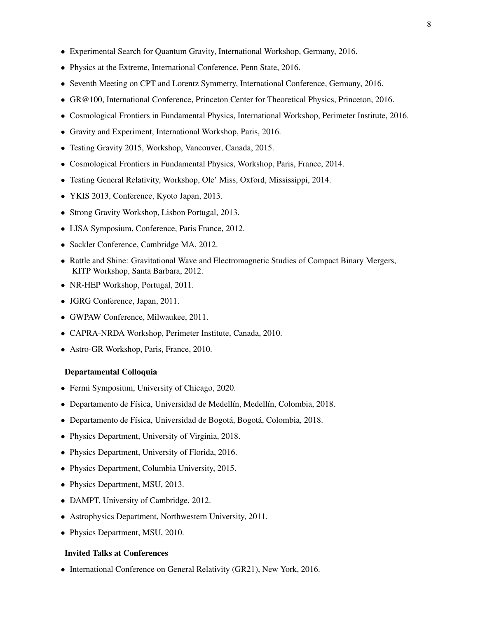- Experimental Search for Quantum Gravity, International Workshop, Germany, 2016.
- Physics at the Extreme, International Conference, Penn State, 2016.
- Seventh Meeting on CPT and Lorentz Symmetry, International Conference, Germany, 2016.
- GR@100, International Conference, Princeton Center for Theoretical Physics, Princeton, 2016.
- Cosmological Frontiers in Fundamental Physics, International Workshop, Perimeter Institute, 2016.
- Gravity and Experiment, International Workshop, Paris, 2016.
- Testing Gravity 2015, Workshop, Vancouver, Canada, 2015.
- Cosmological Frontiers in Fundamental Physics, Workshop, Paris, France, 2014.
- Testing General Relativity, Workshop, Ole' Miss, Oxford, Mississippi, 2014.
- YKIS 2013, Conference, Kyoto Japan, 2013.
- Strong Gravity Workshop, Lisbon Portugal, 2013.
- LISA Symposium, Conference, Paris France, 2012.
- Sackler Conference, Cambridge MA, 2012.
- Rattle and Shine: Gravitational Wave and Electromagnetic Studies of Compact Binary Mergers, KITP Workshop, Santa Barbara, 2012.
- NR-HEP Workshop, Portugal, 2011.
- JGRG Conference, Japan, 2011.
- GWPAW Conference, Milwaukee, 2011.
- CAPRA-NRDA Workshop, Perimeter Institute, Canada, 2010.
- Astro-GR Workshop, Paris, France, 2010.

#### Departamental Colloquia

- Fermi Symposium, University of Chicago, 2020.
- Departamento de Física, Universidad de Medellín, Medellín, Colombia, 2018.
- · Departamento de Física, Universidad de Bogotá, Bogotá, Colombia, 2018.
- Physics Department, University of Virginia, 2018.
- Physics Department, University of Florida, 2016.
- Physics Department, Columbia University, 2015.
- Physics Department, MSU, 2013.
- DAMPT, University of Cambridge, 2012.
- Astrophysics Department, Northwestern University, 2011.
- Physics Department, MSU, 2010.

### Invited Talks at Conferences

• International Conference on General Relativity (GR21), New York, 2016.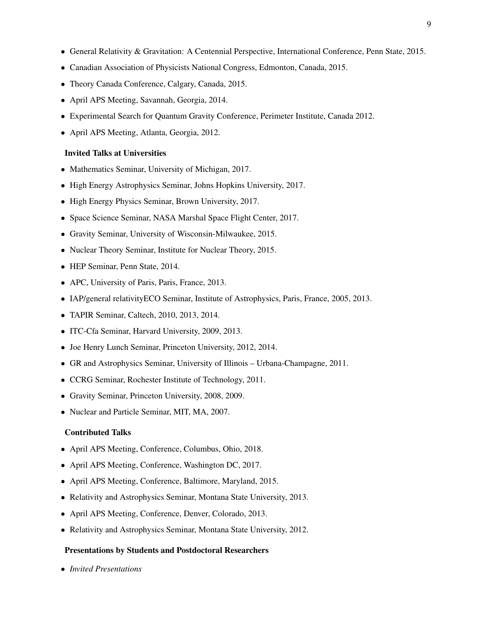- General Relativity & Gravitation: A Centennial Perspective, International Conference, Penn State, 2015.
- Canadian Association of Physicists National Congress, Edmonton, Canada, 2015.
- Theory Canada Conference, Calgary, Canada, 2015.
- April APS Meeting, Savannah, Georgia, 2014.
- Experimental Search for Quantum Gravity Conference, Perimeter Institute, Canada 2012.
- April APS Meeting, Atlanta, Georgia, 2012.

#### Invited Talks at Universities

- Mathematics Seminar, University of Michigan, 2017.
- High Energy Astrophysics Seminar, Johns Hopkins University, 2017.
- High Energy Physics Seminar, Brown University, 2017.
- Space Science Seminar, NASA Marshal Space Flight Center, 2017.
- Gravity Seminar, University of Wisconsin-Milwaukee, 2015.
- Nuclear Theory Seminar, Institute for Nuclear Theory, 2015.
- HEP Seminar, Penn State, 2014.
- APC, University of Paris, Paris, France, 2013.
- IAP/general relativity ECO Seminar, Institute of Astrophysics, Paris, France, 2005, 2013.
- TAPIR Seminar, Caltech, 2010, 2013, 2014.
- ITC-Cfa Seminar, Harvard University, 2009, 2013.
- Joe Henry Lunch Seminar, Princeton University, 2012, 2014.
- GR and Astrophysics Seminar, University of Illinois Urbana-Champagne, 2011.
- CCRG Seminar, Rochester Institute of Technology, 2011.
- Gravity Seminar, Princeton University, 2008, 2009.
- Nuclear and Particle Seminar, MIT, MA, 2007.

#### Contributed Talks

- April APS Meeting, Conference, Columbus, Ohio, 2018.
- April APS Meeting, Conference, Washington DC, 2017.
- April APS Meeting, Conference, Baltimore, Maryland, 2015.
- Relativity and Astrophysics Seminar, Montana State University, 2013.
- April APS Meeting, Conference, Denver, Colorado, 2013.
- Relativity and Astrophysics Seminar, Montana State University, 2012.

#### Presentations by Students and Postdoctoral Researchers

• *Invited Presentations*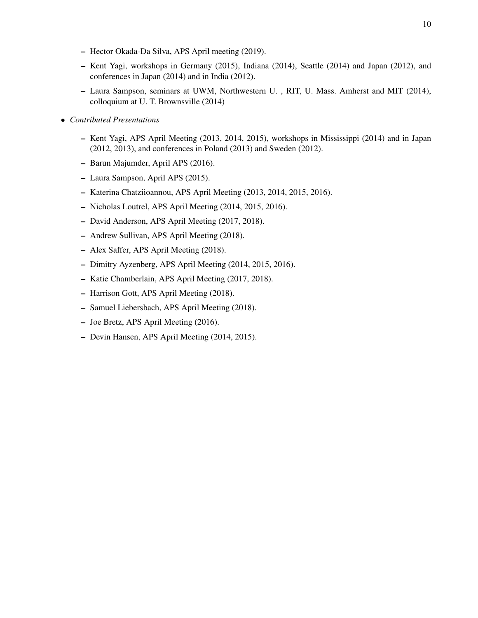- Hector Okada-Da Silva, APS April meeting (2019).
- Kent Yagi, workshops in Germany (2015), Indiana (2014), Seattle (2014) and Japan (2012), and conferences in Japan (2014) and in India (2012).
- Laura Sampson, seminars at UWM, Northwestern U. , RIT, U. Mass. Amherst and MIT (2014), colloquium at U. T. Brownsville (2014)
- *Contributed Presentations*
	- Kent Yagi, APS April Meeting (2013, 2014, 2015), workshops in Mississippi (2014) and in Japan (2012, 2013), and conferences in Poland (2013) and Sweden (2012).
	- Barun Majumder, April APS (2016).
	- Laura Sampson, April APS (2015).
	- Katerina Chatziioannou, APS April Meeting (2013, 2014, 2015, 2016).
	- Nicholas Loutrel, APS April Meeting (2014, 2015, 2016).
	- David Anderson, APS April Meeting (2017, 2018).
	- Andrew Sullivan, APS April Meeting (2018).
	- Alex Saffer, APS April Meeting (2018).
	- Dimitry Ayzenberg, APS April Meeting (2014, 2015, 2016).
	- Katie Chamberlain, APS April Meeting (2017, 2018).
	- Harrison Gott, APS April Meeting (2018).
	- Samuel Liebersbach, APS April Meeting (2018).
	- Joe Bretz, APS April Meeting (2016).
	- Devin Hansen, APS April Meeting (2014, 2015).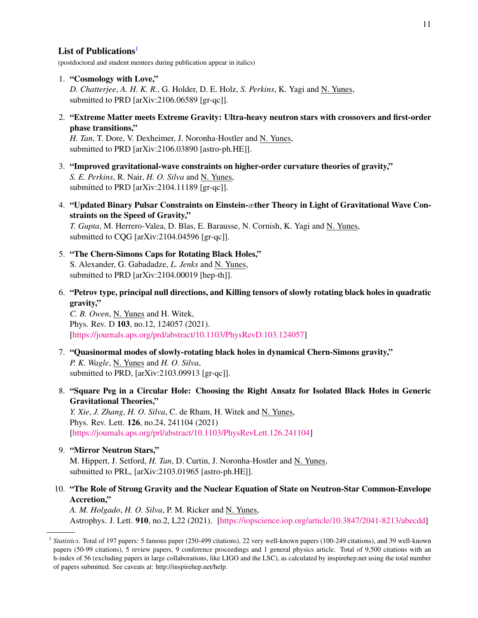### List of Publications<sup>[1](#page-10-0)</sup>

(postdoctoral and student mentees during publication appear in italics)

- 1. "Cosmology with Love," *D. Chatterjee*, *A. H. K. R.*, G. Holder, D. E. Holz, *S. Perkins*, K. Yagi and N. Yunes, submitted to PRD [arXiv:2106.06589 [gr-qc]].
- 2. "Extreme Matter meets Extreme Gravity: Ultra-heavy neutron stars with crossovers and first-order phase transitions,"

*H. Tan*, T. Dore, V. Dexheimer, J. Noronha-Hostler and N. Yunes, submitted to PRD [arXiv:2106.03890 [astro-ph.HE]].

- 3. "Improved gravitational-wave constraints on higher-order curvature theories of gravity," *S. E. Perkins*, R. Nair, *H. O. Silva* and N. Yunes, submitted to PRD [arXiv:2104.11189 [gr-qc]].
- 4. "Updated Binary Pulsar Constraints on Einstein-æther Theory in Light of Gravitational Wave Constraints on the Speed of Gravity," *T. Gupta*, M. Herrero-Valea, D. Blas, E. Barausse, N. Cornish, K. Yagi and N. Yunes,

submitted to CQG [arXiv:2104.04596 [gr-qc]].

- 5. "The Chern-Simons Caps for Rotating Black Holes," S. Alexander, G. Gabadadze, *L. Jenks* and N. Yunes, submitted to PRD [arXiv:2104.00019 [hep-th]].
- 6. "Petrov type, principal null directions, and Killing tensors of slowly rotating black holes in quadratic gravity,"

*C. B. Owen*, N. Yunes and H. Witek, Phys. Rev. D 103, no.12, 124057 (2021). [\[https://journals.aps.org/prd/abstract/10.1103/PhysRevD.103.124057\]](https://journals.aps.org/prd/abstract/10.1103/PhysRevD.103.124057)

- 7. "Quasinormal modes of slowly-rotating black holes in dynamical Chern-Simons gravity," *P. K. Wagle*, N. Yunes and *H. O. Silva*, submitted to PRD, [arXiv:2103.09913 [gr-qc]].
- 8. "Square Peg in a Circular Hole: Choosing the Right Ansatz for Isolated Black Holes in Generic Gravitational Theories,"

*Y. Xie*, *J. Zhang*, *H. O. Silva*, *C.* de Rham, *H. Witek and <u>N. Yunes</u>*, Phys. Rev. Lett. 126, no.24, 241104 (2021) [\[https://journals.aps.org/prl/abstract/10.1103/PhysRevLett.126.241104\]](https://journals.aps.org/prl/abstract/10.1103/PhysRevLett.126.241104)

- 9. "Mirror Neutron Stars," M. Hippert, J. Setford, *H. Tan*, D. Curtin, J. Noronha-Hostler and N. Yunes, submitted to PRL, [arXiv:2103.01965 [astro-ph.HE]].
- 10. "The Role of Strong Gravity and the Nuclear Equation of State on Neutron-Star Common-Envelope Accretion,"

*A. M. Holgado*, *H. O. Silva*, P. M. Ricker and N. Yunes, Astrophys. J. Lett. 910, no.2, L22 (2021). [\[https://iopscience.iop.org/article/10.3847/2041-8213/abecdd\]](https://iopscience.iop.org/article/10.3847/2041-8213/abecdd)

<span id="page-10-0"></span><sup>&</sup>lt;sup>1</sup> Statistics. Total of 197 papers: 5 famous paper (250-499 citations), 22 very well-known papers (100-249 citations), and 39 well-known papers (50-99 citations), 5 review papers, 9 conference proceedings and 1 general physics article. Total of 9,500 citations with an h-index of 56 (excluding papers in large collaborations, like LIGO and the LSC), as calculated by inspirehep.net using the total number of papers submitted. See caveats at: http://inspirehep.net/help.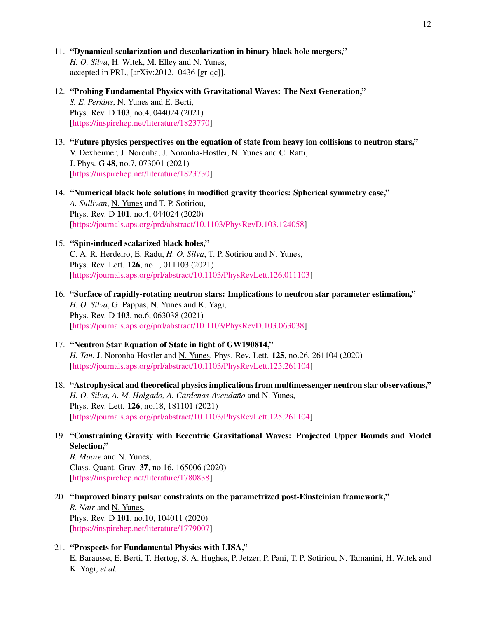- 11. "Dynamical scalarization and descalarization in binary black hole mergers," *H. O. Silva*, H. Witek, M. Elley and N. Yunes, accepted in PRL, [arXiv:2012.10436 [gr-qc]].
- 12. "Probing Fundamental Physics with Gravitational Waves: The Next Generation," *S. E. Perkins*, N. Yunes and E. Berti, Phys. Rev. D 103, no.4, 044024 (2021) [\[https://inspirehep.net/literature/1823770\]](https://inspirehep.net/literature/1823770)
- 13. "Future physics perspectives on the equation of state from heavy ion collisions to neutron stars," V. Dexheimer, J. Noronha, J. Noronha-Hostler, N. Yunes and C. Ratti, J. Phys. G 48, no.7, 073001 (2021) [\[https://inspirehep.net/literature/1823730\]](https://inspirehep.net/literature/1823730)
- 14. "Numerical black hole solutions in modified gravity theories: Spherical symmetry case," *A. Sullivan*, N. Yunes and T. P. Sotiriou, Phys. Rev. D 101, no.4, 044024 (2020) [\[https://journals.aps.org/prd/abstract/10.1103/PhysRevD.103.124058\]](https://journals.aps.org/prd/abstract/10.1103/PhysRevD.103.124058)
- 15. "Spin-induced scalarized black holes," C. A. R. Herdeiro, E. Radu, *H. O. Silva*, T. P. Sotiriou and N. Yunes, Phys. Rev. Lett. 126, no.1, 011103 (2021) [\[https://journals.aps.org/prl/abstract/10.1103/PhysRevLett.126.011103\]](https://journals.aps.org/prl/abstract/10.1103/PhysRevLett.126.011103)
- 16. "Surface of rapidly-rotating neutron stars: Implications to neutron star parameter estimation," *H. O. Silva*, G. Pappas, N. Yunes and K. Yagi, Phys. Rev. D 103, no.6, 063038 (2021) [\[https://journals.aps.org/prd/abstract/10.1103/PhysRevD.103.063038\]](https://journals.aps.org/prd/abstract/10.1103/PhysRevD.103.063038)
- 17. "Neutron Star Equation of State in light of GW190814," *H. Tan*, J. Noronha-Hostler and N. Yunes, Phys. Rev. Lett. 125, no.26, 261104 (2020) [\[https://journals.aps.org/prl/abstract/10.1103/PhysRevLett.125.261104\]](https://journals.aps.org/prl/abstract/10.1103/PhysRevLett.125.261104)
- 18. "Astrophysical and theoretical physics implications from multimessenger neutron star observations," *H. O. Silva, A. M. Holgado, A. Cárdenas-Avendaño* and N. Yunes, Phys. Rev. Lett. 126, no.18, 181101 (2021) [\[https://journals.aps.org/prl/abstract/10.1103/PhysRevLett.125.261104\]](https://journals.aps.org/prl/abstract/10.1103/PhysRevLett.125.261104)
- 19. "Constraining Gravity with Eccentric Gravitational Waves: Projected Upper Bounds and Model Selection,"

*B. Moore* and N. Yunes, Class. Quant. Grav. 37, no.16, 165006 (2020) [\[https://inspirehep.net/literature/1780838\]](https://inspirehep.net/literature/1780838)

- 20. "Improved binary pulsar constraints on the parametrized post-Einsteinian framework," *R. Nair* and N. Yunes, Phys. Rev. D 101, no.10, 104011 (2020) [\[https://inspirehep.net/literature/1779007\]](https://inspirehep.net/literature/1779007)
- 21. "Prospects for Fundamental Physics with LISA," E. Barausse, E. Berti, T. Hertog, S. A. Hughes, P. Jetzer, P. Pani, T. P. Sotiriou, N. Tamanini, H. Witek and K. Yagi, *et al.*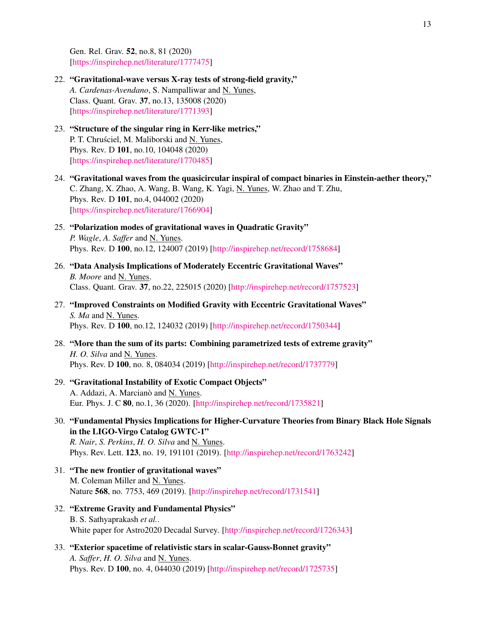Gen. Rel. Grav. 52, no.8, 81 (2020) [\[https://inspirehep.net/literature/1777475\]](https://inspirehep.net/literature/1777475)

- 22. "Gravitational-wave versus X-ray tests of strong-field gravity," *A. Cardenas-Avendano*, S. Nampalliwar and N. Yunes, Class. Quant. Grav. 37, no.13, 135008 (2020) [\[https://inspirehep.net/literature/1771393\]](https://inspirehep.net/literature/1771393)
- 23. "Structure of the singular ring in Kerr-like metrics," P. T. Chruściel, M. Maliborski and N. Yunes, Phys. Rev. D 101, no.10, 104048 (2020) [\[https://inspirehep.net/literature/1770485\]](https://inspirehep.net/literature/1770485)
- 24. "Gravitational waves from the quasicircular inspiral of compact binaries in Einstein-aether theory," C. Zhang, X. Zhao, A. Wang, B. Wang, K. Yagi, N. Yunes, W. Zhao and T. Zhu, Phys. Rev. D 101, no.4, 044002 (2020) [\[https://inspirehep.net/literature/1766904\]](https://inspirehep.net/literature/1766904)
- 25. "Polarization modes of gravitational waves in Quadratic Gravity" *P. Wagle*, *A. Saffer* and N. Yunes. Phys. Rev. D 100, no.12, 124007 (2019) [\[http://inspirehep.net/record/1758684\]](http://inspirehep.net/record/1758684)
- 26. "Data Analysis Implications of Moderately Eccentric Gravitational Waves" *B. Moore* and N. Yunes. Class. Quant. Grav. 37, no.22, 225015 (2020) [\[http://inspirehep.net/record/1757523\]](http://inspirehep.net/record/1757523)
- 27. "Improved Constraints on Modified Gravity with Eccentric Gravitational Waves" *S. Ma* and N. Yunes. Phys. Rev. D 100, no.12, 124032 (2019) [\[http://inspirehep.net/record/1750344\]](http://inspirehep.net/record/1750344)
- 28. "More than the sum of its parts: Combining parametrized tests of extreme gravity" *H. O. Silva* and N. Yunes. Phys. Rev. D 100, no. 8, 084034 (2019) [\[http://inspirehep.net/record/1737779\]](http://inspirehep.net/record/1737779)
- 29. "Gravitational Instability of Exotic Compact Objects" A. Addazi, A. Marcianò and N. Yunes. Eur. Phys. J. C 80, no.1, 36 (2020). [\[http://inspirehep.net/record/1735821\]](http://inspirehep.net/record/1735821)
- 30. "Fundamental Physics Implications for Higher-Curvature Theories from Binary Black Hole Signals in the LIGO-Virgo Catalog GWTC-1"

*R. Nair*, *S. Perkins*, *H. O. Silva* and N. Yunes. Phys. Rev. Lett. 123, no. 19, 191101 (2019). [\[http://inspirehep.net/record/1763242\]](http://inspirehep.net/record/1763242)

- 31. "The new frontier of gravitational waves" M. Coleman Miller and N. Yunes. Nature 568, no. 7753, 469 (2019). [\[http://inspirehep.net/record/1731541\]](http://inspirehep.net/record/1731541)
- 32. "Extreme Gravity and Fundamental Physics" B. S. Sathyaprakash *et al.*. White paper for Astro2020 Decadal Survey. [\[http://inspirehep.net/record/1726343\]](http://inspirehep.net/record/1726343)
- 33. "Exterior spacetime of relativistic stars in scalar-Gauss-Bonnet gravity" *A. Saffer*, *H. O. Silva* and N. Yunes. Phys. Rev. D 100, no. 4, 044030 (2019) [\[http://inspirehep.net/record/1725735\]](http://inspirehep.net/record/1725735)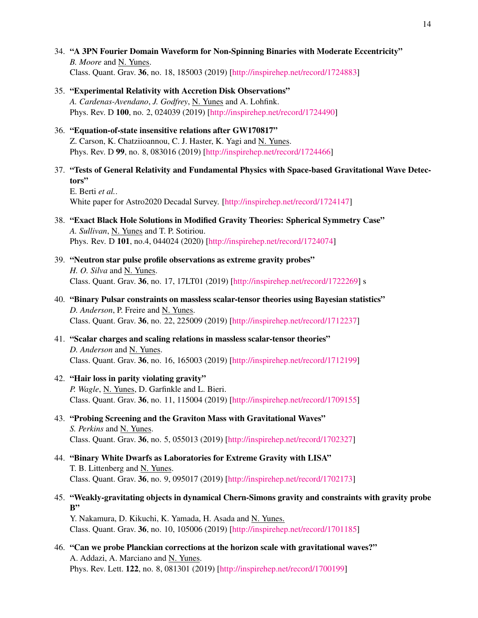- 34. "A 3PN Fourier Domain Waveform for Non-Spinning Binaries with Moderate Eccentricity" *B. Moore* and N. Yunes. Class. Quant. Grav. 36, no. 18, 185003 (2019) [\[http://inspirehep.net/record/1724883\]](http://inspirehep.net/record/1724883)
- 35. "Experimental Relativity with Accretion Disk Observations" *A. Cardenas-Avendano*, *J. Godfrey*, N. Yunes and A. Lohfink. Phys. Rev. D 100, no. 2, 024039 (2019) [\[http://inspirehep.net/record/1724490\]](http://inspirehep.net/record/1724490)
- 36. "Equation-of-state insensitive relations after GW170817" Z. Carson, K. Chatziioannou, C. J. Haster, K. Yagi and N. Yunes. Phys. Rev. D 99, no. 8, 083016 (2019) [\[http://inspirehep.net/record/1724466\]](http://inspirehep.net/record/1724466)
- 37. "Tests of General Relativity and Fundamental Physics with Space-based Gravitational Wave Detectors"

E. Berti *et al.*. White paper for Astro2020 Decadal Survey. [\[http://inspirehep.net/record/1724147\]](http://inspirehep.net/record/1724147)

- 38. "Exact Black Hole Solutions in Modified Gravity Theories: Spherical Symmetry Case" *A. Sullivan*, N. Yunes and T. P. Sotiriou. Phys. Rev. D 101, no.4, 044024 (2020) [\[http://inspirehep.net/record/1724074\]](http://inspirehep.net/record/1724074)
- 39. "Neutron star pulse profile observations as extreme gravity probes" *H. O. Silva* and N. Yunes. Class. Quant. Grav. 36, no. 17, 17LT01 (2019) [\[http://inspirehep.net/record/1722269\]](http://inspirehep.net/record/1722269) s
- 40. "Binary Pulsar constraints on massless scalar-tensor theories using Bayesian statistics" *D. Anderson*, P. Freire and N. Yunes. Class. Quant. Grav. 36, no. 22, 225009 (2019) [\[http://inspirehep.net/record/1712237\]](http://inspirehep.net/record/1712237)
- 41. "Scalar charges and scaling relations in massless scalar-tensor theories" *D. Anderson* and N. Yunes. Class. Quant. Grav. 36, no. 16, 165003 (2019) [\[http://inspirehep.net/record/1712199\]](http://inspirehep.net/record/1712199)
- 42. "Hair loss in parity violating gravity" *P. Wagle*, N. Yunes, D. Garfinkle and L. Bieri. Class. Quant. Grav. 36, no. 11, 115004 (2019) [\[http://inspirehep.net/record/1709155\]](http://inspirehep.net/record/1709155)
- 43. "Probing Screening and the Graviton Mass with Gravitational Waves" *S. Perkins* and N. Yunes. Class. Quant. Grav. 36, no. 5, 055013 (2019) [\[http://inspirehep.net/record/1702327\]](http://inspirehep.net/record/1702327)
- 44. "Binary White Dwarfs as Laboratories for Extreme Gravity with LISA" T. B. Littenberg and N. Yunes. Class. Quant. Grav. 36, no. 9, 095017 (2019) [\[http://inspirehep.net/record/1702173\]](http://inspirehep.net/record/1702173)
- 45. "Weakly-gravitating objects in dynamical Chern-Simons gravity and constraints with gravity probe B"

Y. Nakamura, D. Kikuchi, K. Yamada, H. Asada and N. Yunes. Class. Quant. Grav. 36, no. 10, 105006 (2019) [\[http://inspirehep.net/record/1701185\]](http://inspirehep.net/record/1701185)

46. "Can we probe Planckian corrections at the horizon scale with gravitational waves?" A. Addazi, A. Marciano and N. Yunes. Phys. Rev. Lett. 122, no. 8, 081301 (2019) [\[http://inspirehep.net/record/1700199\]](http://inspirehep.net/record/1700199)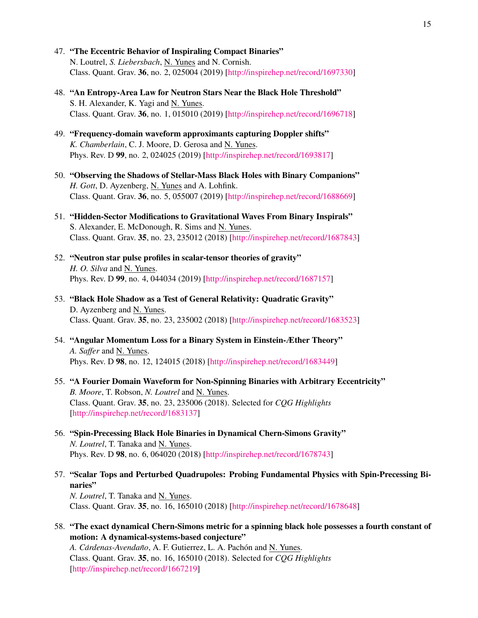- 47. "The Eccentric Behavior of Inspiraling Compact Binaries" N. Loutrel, *S. Liebersbach*, N. Yunes and N. Cornish. Class. Quant. Grav. 36, no. 2, 025004 (2019) [\[http://inspirehep.net/record/1697330\]](http://inspirehep.net/record/1697330)
- 48. "An Entropy-Area Law for Neutron Stars Near the Black Hole Threshold" S. H. Alexander, K. Yagi and N. Yunes. Class. Quant. Grav. 36, no. 1, 015010 (2019) [\[http://inspirehep.net/record/1696718\]](http://inspirehep.net/record/1696718)
- 49. "Frequency-domain waveform approximants capturing Doppler shifts" *K. Chamberlain*, C. J. Moore, D. Gerosa and N. Yunes. Phys. Rev. D 99, no. 2, 024025 (2019) [\[http://inspirehep.net/record/1693817\]](http://inspirehep.net/record/1693817)
- 50. "Observing the Shadows of Stellar-Mass Black Holes with Binary Companions" *H. Gott*, D. Ayzenberg, N. Yunes and A. Lohfink. Class. Quant. Grav. 36, no. 5, 055007 (2019) [\[http://inspirehep.net/record/1688669\]](http://inspirehep.net/record/1688669)
- 51. "Hidden-Sector Modifications to Gravitational Waves From Binary Inspirals" S. Alexander, E. McDonough, R. Sims and N. Yunes. Class. Quant. Grav. 35, no. 23, 235012 (2018) [\[http://inspirehep.net/record/1687843\]](http://inspirehep.net/record/1687843)
- 52. "Neutron star pulse profiles in scalar-tensor theories of gravity" *H. O. Silva* and N. Yunes. Phys. Rev. D 99, no. 4, 044034 (2019) [\[http://inspirehep.net/record/1687157\]](http://inspirehep.net/record/1687157)
- 53. "Black Hole Shadow as a Test of General Relativity: Quadratic Gravity" D. Ayzenberg and N. Yunes. Class. Quant. Grav. 35, no. 23, 235002 (2018) [\[http://inspirehep.net/record/1683523\]](http://inspirehep.net/record/1683523)
- 54. "Angular Momentum Loss for a Binary System in Einstein-Æther Theory" *A. Saffer* and N. Yunes. Phys. Rev. D 98, no. 12, 124015 (2018) [\[http://inspirehep.net/record/1683449\]](http://inspirehep.net/record/1683449)
- 55. "A Fourier Domain Waveform for Non-Spinning Binaries with Arbitrary Eccentricity" *B. Moore*, T. Robson, *N. Loutrel* and N. Yunes. Class. Quant. Grav. 35, no. 23, 235006 (2018). Selected for *CQG Highlights* [\[http://inspirehep.net/record/1683137\]](http://inspirehep.net/record/1683137)
- 56. "Spin-Precessing Black Hole Binaries in Dynamical Chern-Simons Gravity" *N. Loutrel*, T. Tanaka and N. Yunes. Phys. Rev. D 98, no. 6, 064020 (2018) [\[http://inspirehep.net/record/1678743\]](http://inspirehep.net/record/1678743)
- 57. "Scalar Tops and Perturbed Quadrupoles: Probing Fundamental Physics with Spin-Precessing Binaries" *N. Loutrel*, T. Tanaka and N. Yunes. Class. Quant. Grav. 35, no. 16, 165010 (2018) [\[http://inspirehep.net/record/1678648\]](http://inspirehep.net/record/1678648)
- 58. "The exact dynamical Chern-Simons metric for a spinning black hole possesses a fourth constant of motion: A dynamical-systems-based conjecture" *A. Cárdenas-Avendaño, A. F. Gutierrez, L. A. Pachón and N. Yunes.* Class. Quant. Grav. 35, no. 16, 165010 (2018). Selected for *CQG Highlights*

[\[http://inspirehep.net/record/1667219\]](http://inspirehep.net/record/1667219)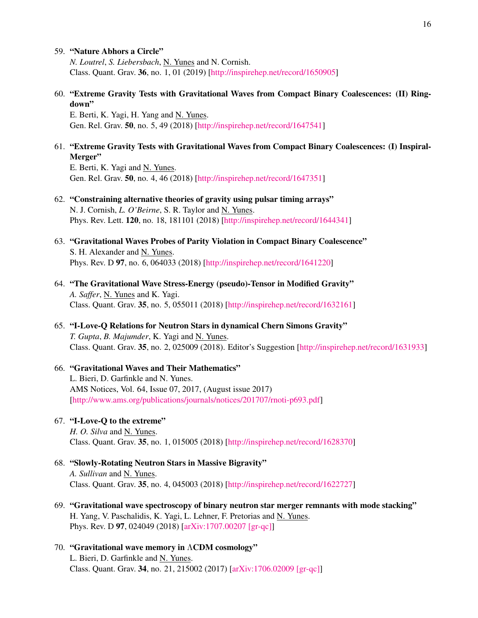#### 59. "Nature Abhors a Circle"

*N. Loutrel*, *S. Liebersbach*, N. Yunes and N. Cornish. Class. Quant. Grav. 36, no. 1, 01 (2019) [\[http://inspirehep.net/record/1650905\]](http://inspirehep.net/record/1650905)

60. "Extreme Gravity Tests with Gravitational Waves from Compact Binary Coalescences: (II) Ringdown"

E. Berti, K. Yagi, H. Yang and N. Yunes. Gen. Rel. Grav. 50, no. 5, 49 (2018) [\[http://inspirehep.net/record/1647541\]](http://inspirehep.net/record/1647541)

### 61. "Extreme Gravity Tests with Gravitational Waves from Compact Binary Coalescences: (I) Inspiral-Merger"

E. Berti, K. Yagi and N. Yunes. Gen. Rel. Grav. 50, no. 4, 46 (2018) [\[http://inspirehep.net/record/1647351\]](http://inspirehep.net/record/1647351)

### 62. "Constraining alternative theories of gravity using pulsar timing arrays" N. J. Cornish, *L. O'Beirne*, S. R. Taylor and N. Yunes. Phys. Rev. Lett. 120, no. 18, 181101 (2018) [\[http://inspirehep.net/record/1644341\]](http://inspirehep.net/record/1644341)

- 63. "Gravitational Waves Probes of Parity Violation in Compact Binary Coalescence" S. H. Alexander and N. Yunes. Phys. Rev. D 97, no. 6, 064033 (2018) [\[http://inspirehep.net/record/1641220\]](http://inspirehep.net/record/1641220)
- 64. "The Gravitational Wave Stress-Energy (pseudo)-Tensor in Modified Gravity" *A. Saffer*, N. Yunes and K. Yagi. Class. Quant. Grav. 35, no. 5, 055011 (2018) [\[http://inspirehep.net/record/1632161\]](http://inspirehep.net/record/1632161)
- 65. "I-Love-Q Relations for Neutron Stars in dynamical Chern Simons Gravity" *T. Gupta*, *B. Majumder*, K. Yagi and N. Yunes. Class. Quant. Grav. 35, no. 2, 025009 (2018). Editor's Suggestion [\[http://inspirehep.net/record/1631933\]](http://inspirehep.net/record/1631933)

### 66. "Gravitational Waves and Their Mathematics" L. Bieri, D. Garfinkle and N. Yunes. AMS Notices, Vol. 64, Issue 07, 2017, (August issue 2017) [\[http://www.ams.org/publications/journals/notices/201707/rnoti-p693.pdf\]](http://www.ams.org/publications/journals/notices/201707/rnoti-p693.pdf)

# 67. "I-Love-Q to the extreme"

*H. O. Silva* and N. Yunes. Class. Quant. Grav. 35, no. 1, 015005 (2018) [\[http://inspirehep.net/record/1628370\]](http://inspirehep.net/record/1628370)

- 68. "Slowly-Rotating Neutron Stars in Massive Bigravity" *A. Sullivan* and N. Yunes. Class. Quant. Grav. 35, no. 4, 045003 (2018) [\[http://inspirehep.net/record/1622727\]](http://inspirehep.net/record/1622727)
- 69. "Gravitational wave spectroscopy of binary neutron star merger remnants with mode stacking" H. Yang, V. Paschalidis, K. Yagi, L. Lehner, F. Pretorias and N. Yunes. Phys. Rev. D 97, 024049 (2018) [\[arXiv:1707.00207 \[gr-qc\]\]](http://arxiv.org/abs/1707.00207)
- 70. "Gravitational wave memory in ΛCDM cosmology" L. Bieri, D. Garfinkle and N. Yunes. Class. Quant. Grav. 34, no. 21, 215002 (2017) [\[arXiv:1706.02009 \[gr-qc\]\]](http://arxiv.org/abs/1706.02009)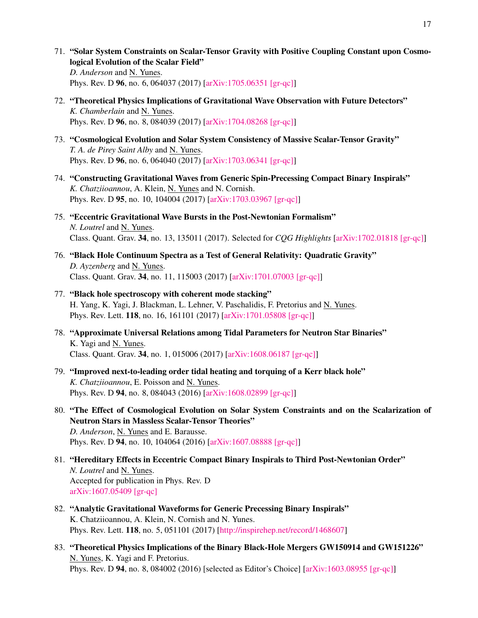- 71. "Solar System Constraints on Scalar-Tensor Gravity with Positive Coupling Constant upon Cosmological Evolution of the Scalar Field" *D. Anderson* and N. Yunes. Phys. Rev. D 96, no. 6, 064037 (2017) [\[arXiv:1705.06351 \[gr-qc\]\]](http://arxiv.org/abs/1705.06351)
- 72. "Theoretical Physics Implications of Gravitational Wave Observation with Future Detectors" *K. Chamberlain* and N. Yunes. Phys. Rev. D 96, no. 8, 084039 (2017) [\[arXiv:1704.08268 \[gr-qc\]\]](http://arxiv.org/abs/1704.08268)
- 73. "Cosmological Evolution and Solar System Consistency of Massive Scalar-Tensor Gravity" *T. A. de Pirey Saint Alby* and N. Yunes. Phys. Rev. D 96, no. 6, 064040 (2017) [\[arXiv:1703.06341 \[gr-qc\]\]](http://arxiv.org/abs/1703.06341)
- 74. "Constructing Gravitational Waves from Generic Spin-Precessing Compact Binary Inspirals" *K. Chatziioannou*, A. Klein, N. Yunes and N. Cornish. Phys. Rev. D 95, no. 10, 104004 (2017) [\[arXiv:1703.03967 \[gr-qc\]\]](http://arxiv.org/abs/1703.03967)
- 75. "Eccentric Gravitational Wave Bursts in the Post-Newtonian Formalism" *N. Loutrel* and N. Yunes. Class. Quant. Grav. 34, no. 13, 135011 (2017). Selected for *CQG Highlights* [\[arXiv:1702.01818 \[gr-qc\]\]](http://arxiv.org/abs/1702.01818)
- 76. "Black Hole Continuum Spectra as a Test of General Relativity: Quadratic Gravity" *D. Ayzenberg* and N. Yunes. Class. Quant. Grav. 34, no. 11, 115003 (2017) [\[arXiv:1701.07003 \[gr-qc\]\]](http://arxiv.org/abs/1701.07003)
- 77. "Black hole spectroscopy with coherent mode stacking" H. Yang, K. Yagi, J. Blackman, L. Lehner, V. Paschalidis, F. Pretorius and N. Yunes. Phys. Rev. Lett. 118, no. 16, 161101 (2017) [\[arXiv:1701.05808 \[gr-qc\]\]](http://arxiv.org/abs/1701.05808)
- 78. "Approximate Universal Relations among Tidal Parameters for Neutron Star Binaries" K. Yagi and N. Yunes. Class. Quant. Grav. 34, no. 1, 015006 (2017) [\[arXiv:1608.06187 \[gr-qc\]\]](http://arxiv.org/abs/1608.06187)
- 79. "Improved next-to-leading order tidal heating and torquing of a Kerr black hole" *K. Chatziioannou*, E. Poisson and N. Yunes. Phys. Rev. D 94, no. 8, 084043 (2016) [\[arXiv:1608.02899 \[gr-qc\]\]](http://arxiv.org/abs/1608.02899)
- 80. "The Effect of Cosmological Evolution on Solar System Constraints and on the Scalarization of Neutron Stars in Massless Scalar-Tensor Theories" *D. Anderson*, N. Yunes and E. Barausse. Phys. Rev. D 94, no. 10, 104064 (2016) [\[arXiv:1607.08888 \[gr-qc\]\]](http://arxiv.org/abs/1607.08888)
- 81. "Hereditary Effects in Eccentric Compact Binary Inspirals to Third Post-Newtonian Order" *N. Loutrel* and N. Yunes. Accepted for publication in Phys. Rev. D [arXiv:1607.05409 \[gr-qc\]](http://arxiv.org/abs/1607.05409)
- 82. "Analytic Gravitational Waveforms for Generic Precessing Binary Inspirals" K. Chatziioannou, A. Klein, N. Cornish and N. Yunes. Phys. Rev. Lett. 118, no. 5, 051101 (2017) [\[http://inspirehep.net/record/1468607\]](http://inspirehep.net/record/1468607)
- 83. "Theoretical Physics Implications of the Binary Black-Hole Mergers GW150914 and GW151226" N. Yunes, K. Yagi and F. Pretorius. Phys. Rev. D 94, no. 8, 084002 (2016) [selected as Editor's Choice] [\[arXiv:1603.08955 \[gr-qc\]\]](http://arxiv.org/abs/1603.08955)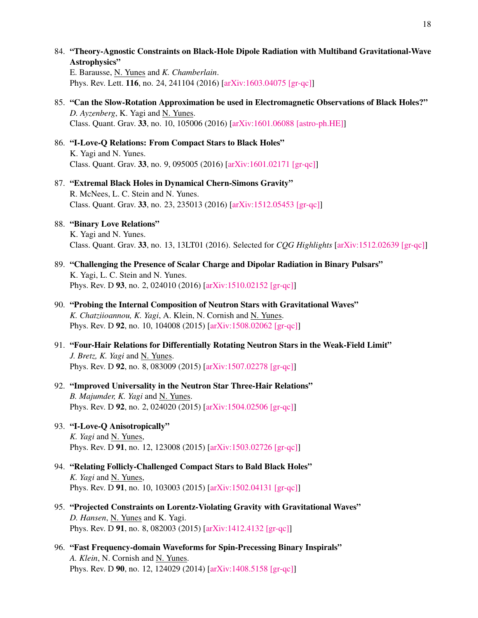84. "Theory-Agnostic Constraints on Black-Hole Dipole Radiation with Multiband Gravitational-Wave Astrophysics"

E. Barausse, N. Yunes and *K. Chamberlain*. Phys. Rev. Lett. 116, no. 24, 241104 (2016) [\[arXiv:1603.04075 \[gr-qc\]\]](http://arxiv.org/abs/1603.04075)

- 85. "Can the Slow-Rotation Approximation be used in Electromagnetic Observations of Black Holes?" *D. Ayzenberg*, K. Yagi and N. Yunes. Class. Quant. Grav. 33, no. 10, 105006 (2016) [\[arXiv:1601.06088 \[astro-ph.HE\]\]](http://arxiv.org/abs/1601.06088)
- 86. "I-Love-Q Relations: From Compact Stars to Black Holes" K. Yagi and N. Yunes. Class. Quant. Grav. 33, no. 9, 095005 (2016) [\[arXiv:1601.02171 \[gr-qc\]\]](http://arxiv.org/abs/1601.02171)
- 87. "Extremal Black Holes in Dynamical Chern-Simons Gravity" R. McNees, L. C. Stein and N. Yunes. Class. Quant. Grav. 33, no. 23, 235013 (2016) [\[arXiv:1512.05453 \[gr-qc\]\]](http://arxiv.org/abs/1512.05453)

# 88. "Binary Love Relations"

K. Yagi and N. Yunes. Class. Quant. Grav. 33, no. 13, 13LT01 (2016). Selected for *CQG Highlights* [\[arXiv:1512.02639 \[gr-qc\]\]](http://arxiv.org/abs/1512.02639)

- 89. "Challenging the Presence of Scalar Charge and Dipolar Radiation in Binary Pulsars" K. Yagi, L. C. Stein and N. Yunes. Phys. Rev. D 93, no. 2, 024010 (2016) [\[arXiv:1510.02152 \[gr-qc\]\]](http://arxiv.org/abs/1510.02152)
- 90. "Probing the Internal Composition of Neutron Stars with Gravitational Waves" *K. Chatziioannou, K. Yagi*, A. Klein, N. Cornish and N. Yunes. Phys. Rev. D 92, no. 10, 104008 (2015) [\[arXiv:1508.02062 \[gr-qc\]\]](http://arxiv.org/abs/1508.02062)
- 91. "Four-Hair Relations for Differentially Rotating Neutron Stars in the Weak-Field Limit" *J. Bretz, K. Yagi* and N. Yunes. Phys. Rev. D 92, no. 8, 083009 (2015) [\[arXiv:1507.02278 \[gr-qc\]\]](http://arxiv.org/abs/1507.02278)
- 92. "Improved Universality in the Neutron Star Three-Hair Relations" *B. Majumder, K. Yagi* and N. Yunes. Phys. Rev. D 92, no. 2, 024020 (2015) [\[arXiv:1504.02506 \[gr-qc\]\]](http://arxiv.org/abs/1504.02506)

# 93. "I-Love-Q Anisotropically"

*K. Yagi* and N. Yunes, Phys. Rev. D 91, no. 12, 123008 (2015) [\[arXiv:1503.02726 \[gr-qc\]\]](http://arxiv.org/abs/1503.02726)

- 94. "Relating Follicly-Challenged Compact Stars to Bald Black Holes" *K. Yagi* and N. Yunes, Phys. Rev. D 91, no. 10, 103003 (2015) [\[arXiv:1502.04131 \[gr-qc\]\]](http://arxiv.org/abs/1502.04131)
- 95. "Projected Constraints on Lorentz-Violating Gravity with Gravitational Waves" *D. Hansen*, N. Yunes and K. Yagi. Phys. Rev. D 91, no. 8, 082003 (2015) [\[arXiv:1412.4132 \[gr-qc\]\]](http://arxiv.org/abs/1412.4132)
- 96. "Fast Frequency-domain Waveforms for Spin-Precessing Binary Inspirals" *A. Klein*, N. Cornish and N. Yunes. Phys. Rev. D 90, no. 12, 124029 (2014) [\[arXiv:1408.5158 \[gr-qc\]\]](http://arxiv.org/abs/1408.5158)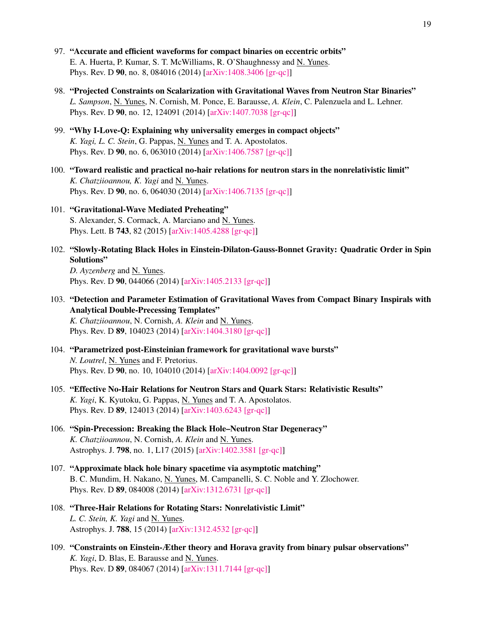- 97. "Accurate and efficient waveforms for compact binaries on eccentric orbits" E. A. Huerta, P. Kumar, S. T. McWilliams, R. O'Shaughnessy and N. Yunes. Phys. Rev. D 90, no. 8, 084016 (2014) [\[arXiv:1408.3406 \[gr-qc\]\]](http://arxiv.org/abs/1408.3406)
- 98. "Projected Constraints on Scalarization with Gravitational Waves from Neutron Star Binaries" *L. Sampson*, N. Yunes, N. Cornish, M. Ponce, E. Barausse, *A. Klein*, C. Palenzuela and L. Lehner. Phys. Rev. D 90, no. 12, 124091 (2014) [\[arXiv:1407.7038 \[gr-qc\]\]](http://arxiv.org/abs/1407.7038)
- 99. "Why I-Love-Q: Explaining why universality emerges in compact objects" *K. Yagi, L. C. Stein*, G. Pappas, N. Yunes and T. A. Apostolatos. Phys. Rev. D 90, no. 6, 063010 (2014) [\[arXiv:1406.7587 \[gr-qc\]\]](http://arxiv.org/abs/1406.7587)
- 100. "Toward realistic and practical no-hair relations for neutron stars in the nonrelativistic limit" *K. Chatziioannou, K. Yagi* and N. Yunes. Phys. Rev. D 90, no. 6, 064030 (2014) [\[arXiv:1406.7135 \[gr-qc\]\]](http://arxiv.org/abs/1406.7135)
- 101. "Gravitational-Wave Mediated Preheating" S. Alexander, S. Cormack, A. Marciano and N. Yunes. Phys. Lett. B 743, 82 (2015) [\[arXiv:1405.4288 \[gr-qc\]\]](http://arxiv.org/abs/1405.4288)
- 102. "Slowly-Rotating Black Holes in Einstein-Dilaton-Gauss-Bonnet Gravity: Quadratic Order in Spin Solutions"

*D. Ayzenberg* and N. Yunes. Phys. Rev. D 90, 044066 (2014) [\[arXiv:1405.2133 \[gr-qc\]\]](http://arxiv.org/abs/1405.2133)

103. "Detection and Parameter Estimation of Gravitational Waves from Compact Binary Inspirals with Analytical Double-Precessing Templates" *K. Chatziioannou*, N. Cornish, *A. Klein* and N. Yunes.

Phys. Rev. D 89, 104023 (2014) [\[arXiv:1404.3180 \[gr-qc\]\]](http://arxiv.org/abs/1404.3180)

- 104. "Parametrized post-Einsteinian framework for gravitational wave bursts" *N. Loutrel*, N. Yunes and F. Pretorius. Phys. Rev. D 90, no. 10, 104010 (2014) [\[arXiv:1404.0092 \[gr-qc\]\]](http://arxiv.org/abs/1404.0092)
- 105. "Effective No-Hair Relations for Neutron Stars and Quark Stars: Relativistic Results" *K. Yagi*, K. Kyutoku, G. Pappas, N. Yunes and T. A. Apostolatos. Phys. Rev. D 89, 124013 (2014) [\[arXiv:1403.6243 \[gr-qc\]\]](http://arxiv.org/abs/1403.6243)
- 106. "Spin-Precession: Breaking the Black Hole–Neutron Star Degeneracy" *K. Chatziioannou*, N. Cornish, *A. Klein* and N. Yunes. Astrophys. J. 798, no. 1, L17 (2015) [\[arXiv:1402.3581 \[gr-qc\]\]](http://arxiv.org/abs/1402.3581)
- 107. "Approximate black hole binary spacetime via asymptotic matching" B. C. Mundim, H. Nakano, N. Yunes, M. Campanelli, S. C. Noble and Y. Zlochower. Phys. Rev. D 89, 084008 (2014) [\[arXiv:1312.6731 \[gr-qc\]\]](http://arxiv.org/abs/1312.6731)
- 108. "Three-Hair Relations for Rotating Stars: Nonrelativistic Limit" *L. C. Stein, K. Yagi* and N. Yunes. Astrophys. J. 788, 15 (2014) [\[arXiv:1312.4532 \[gr-qc\]\]](http://arxiv.org/abs/1312.4532)
- 109. "Constraints on Einstein-Æther theory and Horava gravity from binary pulsar observations" *K. Yagi*, D. Blas, E. Barausse and N. Yunes. Phys. Rev. D 89, 084067 (2014) [\[arXiv:1311.7144 \[gr-qc\]\]](http://arxiv.org/abs/1311.7144)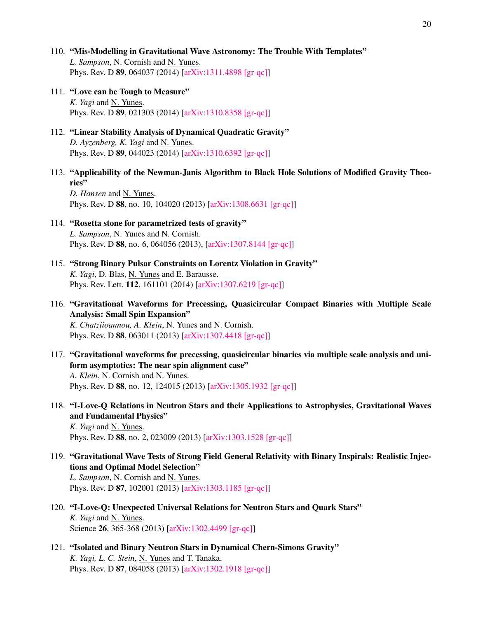- 110. "Mis-Modelling in Gravitational Wave Astronomy: The Trouble With Templates" *L. Sampson*, N. Cornish and N. Yunes. Phys. Rev. D 89, 064037 (2014) [\[arXiv:1311.4898 \[gr-qc\]\]](http://arxiv.org/abs/1311.4898)
- 111. "Love can be Tough to Measure" *K. Yagi* and N. Yunes. Phys. Rev. D 89, 021303 (2014) [\[arXiv:1310.8358 \[gr-qc\]\]](http://arxiv.org/abs/1310.8358)
- 112. "Linear Stability Analysis of Dynamical Quadratic Gravity" *D. Ayzenberg, K. Yagi* and N. Yunes. Phys. Rev. D 89, 044023 (2014) [\[arXiv:1310.6392 \[gr-qc\]\]](http://arxiv.org/abs/1310.6392)
- 113. "Applicability of the Newman-Janis Algorithm to Black Hole Solutions of Modified Gravity Theories" *D. Hansen* and N. Yunes.

Phys. Rev. D 88, no. 10, 104020 (2013) [\[arXiv:1308.6631 \[gr-qc\]\]](http://arxiv.org/abs/1308.6631)

- 114. "Rosetta stone for parametrized tests of gravity" *L. Sampson*, N. Yunes and N. Cornish. Phys. Rev. D 88, no. 6, 064056 (2013), [\[arXiv:1307.8144 \[gr-qc\]\]](http://arxiv.org/abs/1307.8144)
- 115. "Strong Binary Pulsar Constraints on Lorentz Violation in Gravity" *K. Yagi*, D. Blas, N. Yunes and E. Barausse. Phys. Rev. Lett. 112, 161101 (2014) [\[arXiv:1307.6219 \[gr-qc\]\]](http://arxiv.org/abs/1307.6219)
- 116. "Gravitational Waveforms for Precessing, Quasicircular Compact Binaries with Multiple Scale Analysis: Small Spin Expansion" *K. Chatziioannou, A. Klein*, N. Yunes and N. Cornish. Phys. Rev. D 88, 063011 (2013) [\[arXiv:1307.4418 \[gr-qc\]\]](http://arxiv.org/abs/1307.4418)
- 117. "Gravitational waveforms for precessing, quasicircular binaries via multiple scale analysis and uniform asymptotics: The near spin alignment case" *A. Klein*, N. Cornish and N. Yunes. Phys. Rev. D 88, no. 12, 124015 (2013) [\[arXiv:1305.1932 \[gr-qc\]\]](http://arxiv.org/abs/1305.1932)
- 118. "I-Love-Q Relations in Neutron Stars and their Applications to Astrophysics, Gravitational Waves and Fundamental Physics" *K. Yagi* and N. Yunes.

Phys. Rev. D 88, no. 2, 023009 (2013) [\[arXiv:1303.1528 \[gr-qc\]\]](http://arxiv.org/abs/1303.1528)

- 119. "Gravitational Wave Tests of Strong Field General Relativity with Binary Inspirals: Realistic Injections and Optimal Model Selection" *L. Sampson*, N. Cornish and N. Yunes. Phys. Rev. D 87, 102001 (2013) [\[arXiv:1303.1185 \[gr-qc\]\]](http://arxiv.org/abs/1303.1185)
- 120. "I-Love-Q: Unexpected Universal Relations for Neutron Stars and Quark Stars" *K. Yagi* and N. Yunes. Science 26, 365-368 (2013) [\[arXiv:1302.4499 \[gr-qc\]\]](http://arxiv.org/abs/1302.4499)
- 121. "Isolated and Binary Neutron Stars in Dynamical Chern-Simons Gravity" *K. Yagi, L. C. Stein*, N. Yunes and T. Tanaka. Phys. Rev. D 87, 084058 (2013) [\[arXiv:1302.1918 \[gr-qc\]\]](http://arxiv.org/abs/1302.1918)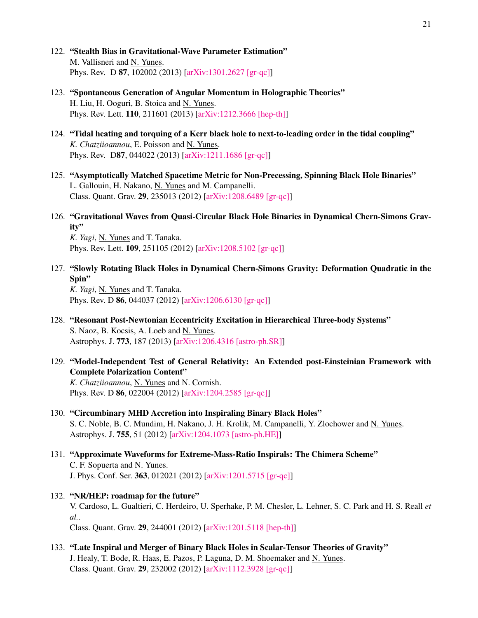- 122. "Stealth Bias in Gravitational-Wave Parameter Estimation" M. Vallisneri and N. Yunes. Phys. Rev. D 87, 102002 (2013) [\[arXiv:1301.2627 \[gr-qc\]\]](http://arxiv.org/abs/1301.2627)
- 123. "Spontaneous Generation of Angular Momentum in Holographic Theories" H. Liu, H. Ooguri, B. Stoica and N. Yunes. Phys. Rev. Lett. 110, 211601 (2013) [\[arXiv:1212.3666 \[hep-th\]\]](http://arxiv.org/abs/1212.3666)
- 124. "Tidal heating and torquing of a Kerr black hole to next-to-leading order in the tidal coupling" *K. Chatziioannou*, E. Poisson and N. Yunes. Phys. Rev. D87, 044022 (2013) [\[arXiv:1211.1686 \[gr-qc\]\]](http://arxiv.org/abs/1211.1686)
- 125. "Asymptotically Matched Spacetime Metric for Non-Precessing, Spinning Black Hole Binaries" L. Gallouin, H. Nakano, N. Yunes and M. Campanelli. Class. Quant. Grav. 29, 235013 (2012) [\[arXiv:1208.6489 \[gr-qc\]\]](http://arxiv.org/abs/1208.6489)
- 126. "Gravitational Waves from Quasi-Circular Black Hole Binaries in Dynamical Chern-Simons Gravity"

*K. Yagi*, N. Yunes and T. Tanaka. Phys. Rev. Lett. 109, 251105 (2012) [\[arXiv:1208.5102 \[gr-qc\]\]](http://arxiv.org/abs/1208.5102)

127. "Slowly Rotating Black Holes in Dynamical Chern-Simons Gravity: Deformation Quadratic in the Spin" *K. Yagi*, N. Yunes and T. Tanaka.

Phys. Rev. D 86, 044037 (2012) [\[arXiv:1206.6130 \[gr-qc\]\]](http://arxiv.org/abs/1206.6130)

- 128. "Resonant Post-Newtonian Eccentricity Excitation in Hierarchical Three-body Systems" S. Naoz, B. Kocsis, A. Loeb and N. Yunes. Astrophys. J. 773, 187 (2013) [\[arXiv:1206.4316 \[astro-ph.SR\]\]](http://arxiv.org/abs/1206.4316)
- 129. "Model-Independent Test of General Relativity: An Extended post-Einsteinian Framework with Complete Polarization Content"

*K. Chatziioannou*, N. Yunes and N. Cornish. Phys. Rev. D 86, 022004 (2012) [\[arXiv:1204.2585 \[gr-qc\]\]](http://arxiv.org/abs/1204.2585)

- 130. "Circumbinary MHD Accretion into Inspiraling Binary Black Holes" S. C. Noble, B. C. Mundim, H. Nakano, J. H. Krolik, M. Campanelli, Y. Zlochower and N. Yunes. Astrophys. J. 755, 51 (2012) [\[arXiv:1204.1073 \[astro-ph.HE\]\]](http://arxiv.org/abs/1204.1073)
- 131. "Approximate Waveforms for Extreme-Mass-Ratio Inspirals: The Chimera Scheme" C. F. Sopuerta and N. Yunes. J. Phys. Conf. Ser. 363, 012021 (2012) [\[arXiv:1201.5715 \[gr-qc\]\]](http://arxiv.org/abs/1201.5715)
- 132. "NR/HEP: roadmap for the future" V. Cardoso, L. Gualtieri, C. Herdeiro, U. Sperhake, P. M. Chesler, L. Lehner, S. C. Park and H. S. Reall *et al.*. Class. Quant. Grav. 29, 244001 (2012) [\[arXiv:1201.5118 \[hep-th\]\]](http://arxiv.org/abs/1201.5118)
- 133. "Late Inspiral and Merger of Binary Black Holes in Scalar-Tensor Theories of Gravity" J. Healy, T. Bode, R. Haas, E. Pazos, P. Laguna, D. M. Shoemaker and N. Yunes. Class. Quant. Grav. 29, 232002 (2012) [\[arXiv:1112.3928 \[gr-qc\]\]](http://arxiv.org/abs/1112.3928)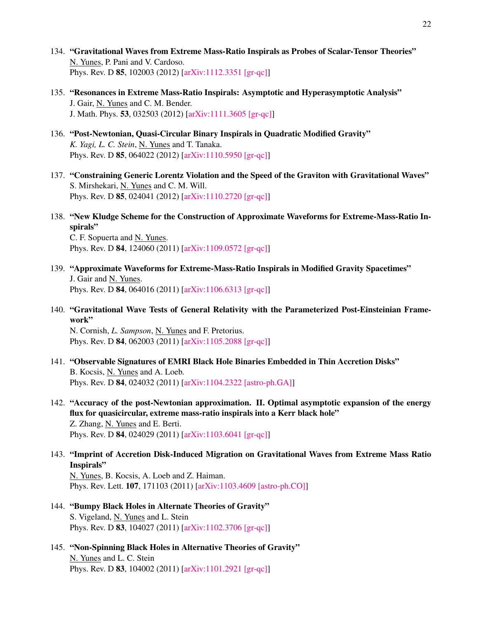- 134. "Gravitational Waves from Extreme Mass-Ratio Inspirals as Probes of Scalar-Tensor Theories" N. Yunes, P. Pani and V. Cardoso. Phys. Rev. D 85, 102003 (2012) [\[arXiv:1112.3351 \[gr-qc\]\]](http://arxiv.org/abs/1112.3351)
- 135. "Resonances in Extreme Mass-Ratio Inspirals: Asymptotic and Hyperasymptotic Analysis" J. Gair, N. Yunes and C. M. Bender. J. Math. Phys. 53, 032503 (2012) [\[arXiv:1111.3605 \[gr-qc\]\]](http://arxiv.org/abs/1111.3605)
- 136. "Post-Newtonian, Quasi-Circular Binary Inspirals in Quadratic Modified Gravity" *K. Yagi, L. C. Stein*, N. Yunes and T. Tanaka. Phys. Rev. D 85, 064022 (2012) [\[arXiv:1110.5950 \[gr-qc\]\]](http://arxiv.org/abs/1110.5950)
- 137. "Constraining Generic Lorentz Violation and the Speed of the Graviton with Gravitational Waves" S. Mirshekari, N. Yunes and C. M. Will. Phys. Rev. D 85, 024041 (2012) [\[arXiv:1110.2720 \[gr-qc\]\]](http://arxiv.org/abs/1110.2720)
- 138. "New Kludge Scheme for the Construction of Approximate Waveforms for Extreme-Mass-Ratio Inspirals"

C. F. Sopuerta and N. Yunes. Phys. Rev. D 84, 124060 (2011) [\[arXiv:1109.0572 \[gr-qc\]\]](http://arxiv.org/abs/1109.0572)

- 139. "Approximate Waveforms for Extreme-Mass-Ratio Inspirals in Modified Gravity Spacetimes" J. Gair and N. Yunes. Phys. Rev. D 84, 064016 (2011) [\[arXiv:1106.6313 \[gr-qc\]\]](http://arxiv.org/abs/1106.6313)
- 140. "Gravitational Wave Tests of General Relativity with the Parameterized Post-Einsteinian Framework"

N. Cornish, *L. Sampson*, N. Yunes and F. Pretorius. Phys. Rev. D 84, 062003 (2011) [\[arXiv:1105.2088 \[gr-qc\]\]](http://arxiv.org/abs/1105.2088)

- 141. "Observable Signatures of EMRI Black Hole Binaries Embedded in Thin Accretion Disks" B. Kocsis, N. Yunes and A. Loeb. Phys. Rev. D 84, 024032 (2011) [\[arXiv:1104.2322 \[astro-ph.GA\]\]](http://arxiv.org/abs/1104.2322)
- 142. "Accuracy of the post-Newtonian approximation. II. Optimal asymptotic expansion of the energy flux for quasicircular, extreme mass-ratio inspirals into a Kerr black hole" Z. Zhang, N. Yunes and E. Berti. Phys. Rev. D 84, 024029 (2011) [\[arXiv:1103.6041 \[gr-qc\]\]](http://arxiv.org/abs/1103.6041)

### 143. "Imprint of Accretion Disk-Induced Migration on Gravitational Waves from Extreme Mass Ratio Inspirals"

N. Yunes, B. Kocsis, A. Loeb and Z. Haiman. Phys. Rev. Lett. 107, 171103 (2011) [\[arXiv:1103.4609 \[astro-ph.CO\]\]](http://arxiv.org/abs/1103.4609)

- 144. "Bumpy Black Holes in Alternate Theories of Gravity" S. Vigeland, N. Yunes and L. Stein Phys. Rev. D 83, 104027 (2011) [\[arXiv:1102.3706 \[gr-qc\]\]](http://arxiv.org/abs/1102.3706)
- 145. "Non-Spinning Black Holes in Alternative Theories of Gravity" N. Yunes and L. C. Stein Phys. Rev. D 83, 104002 (2011) [\[arXiv:1101.2921 \[gr-qc\]\]](http://arxiv.org/abs/1101.2921)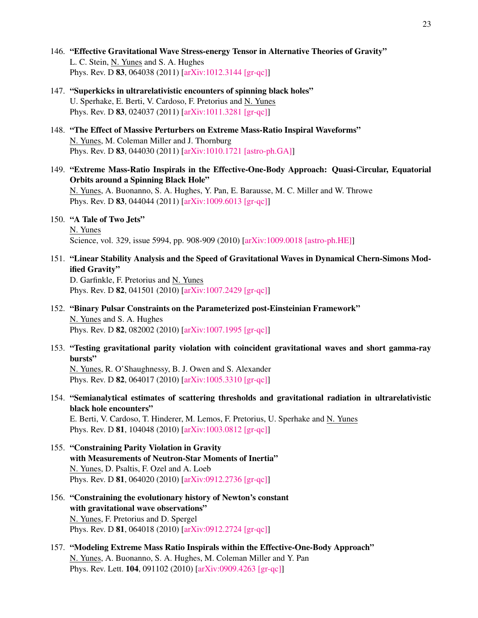- 146. "Effective Gravitational Wave Stress-energy Tensor in Alternative Theories of Gravity" L. C. Stein, N. Yunes and S. A. Hughes Phys. Rev. D 83, 064038 (2011) [\[arXiv:1012.3144 \[gr-qc\]\]](http://arxiv.org/abs/1012.3144)
- 147. "Superkicks in ultrarelativistic encounters of spinning black holes" U. Sperhake, E. Berti, V. Cardoso, F. Pretorius and N. Yunes Phys. Rev. D 83, 024037 (2011) [\[arXiv:1011.3281 \[gr-qc\]\]](http://arxiv.org/abs/1011.3281)
- 148. "The Effect of Massive Perturbers on Extreme Mass-Ratio Inspiral Waveforms" N. Yunes, M. Coleman Miller and J. Thornburg Phys. Rev. D 83, 044030 (2011) [\[arXiv:1010.1721 \[astro-ph.GA\]\]](http://arxiv.org/abs/1010.1721)
- 149. "Extreme Mass-Ratio Inspirals in the Effective-One-Body Approach: Quasi-Circular, Equatorial Orbits around a Spinning Black Hole" N. Yunes, A. Buonanno, S. A. Hughes, Y. Pan, E. Barausse, M. C. Miller and W. Throwe Phys. Rev. D 83, 044044 (2011) [\[arXiv:1009.6013 \[gr-qc\]\]](http://arxiv.org/abs/1009.6013)
- 150. "A Tale of Two Jets"

N. Yunes Science, vol. 329, issue 5994, pp. 908-909 (2010) [\[arXiv:1009.0018 \[astro-ph.HE\]\]](http://arxiv.org/abs/1009.0018)

151. "Linear Stability Analysis and the Speed of Gravitational Waves in Dynamical Chern-Simons Modified Gravity"

D. Garfinkle, F. Pretorius and N. Yunes Phys. Rev. D 82, 041501 (2010) [\[arXiv:1007.2429 \[gr-qc\]\]](http://arxiv.org/abs/1007.2429)

- 152. "Binary Pulsar Constraints on the Parameterized post-Einsteinian Framework" N. Yunes and S. A. Hughes Phys. Rev. D 82, 082002 (2010) [\[arXiv:1007.1995 \[gr-qc\]\]](http://arxiv.org/abs/1007.1995)
- 153. "Testing gravitational parity violation with coincident gravitational waves and short gamma-ray bursts"

N. Yunes, R. O'Shaughnessy, B. J. Owen and S. Alexander Phys. Rev. D 82, 064017 (2010) [\[arXiv:1005.3310 \[gr-qc\]\]](http://arxiv.org/abs/1005.3310)

154. "Semianalytical estimates of scattering thresholds and gravitational radiation in ultrarelativistic black hole encounters" E. Berti, V. Cardoso, T. Hinderer, M. Lemos, F. Pretorius, U. Sperhake and N. Yunes

Phys. Rev. D 81, 104048 (2010) [\[arXiv:1003.0812 \[gr-qc\]\]](http://arxiv.org/abs/1003.0812)

- 155. "Constraining Parity Violation in Gravity with Measurements of Neutron-Star Moments of Inertia" N. Yunes, D. Psaltis, F. Ozel and A. Loeb Phys. Rev. D 81, 064020 (2010) [\[arXiv:0912.2736 \[gr-qc\]\]](http://arxiv.org/abs/0912.2736)
- 156. "Constraining the evolutionary history of Newton's constant with gravitational wave observations" N. Yunes, F. Pretorius and D. Spergel Phys. Rev. D 81, 064018 (2010) [\[arXiv:0912.2724 \[gr-qc\]\]](http://arxiv.org/abs/0912.2724)
- 157. "Modeling Extreme Mass Ratio Inspirals within the Effective-One-Body Approach" N. Yunes, A. Buonanno, S. A. Hughes, M. Coleman Miller and Y. Pan Phys. Rev. Lett. 104, 091102 (2010) [\[arXiv:0909.4263 \[gr-qc\]\]](http://arxiv.org/abs/0909.4263)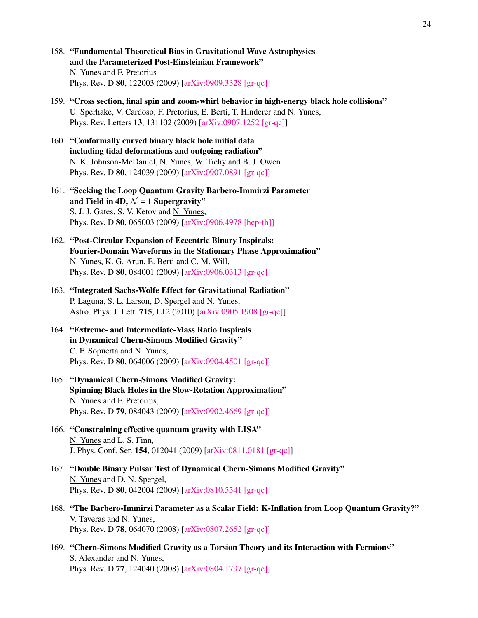- 158. "Fundamental Theoretical Bias in Gravitational Wave Astrophysics and the Parameterized Post-Einsteinian Framework" N. Yunes and F. Pretorius Phys. Rev. D 80, 122003 (2009) [\[arXiv:0909.3328 \[gr-qc\]\]](http://arxiv.org/abs/0909.3328)
- 159. "Cross section, final spin and zoom-whirl behavior in high-energy black hole collisions" U. Sperhake, V. Cardoso, F. Pretorius, E. Berti, T. Hinderer and N. Yunes, Phys. Rev. Letters 13, 131102 (2009) [\[arXiv:0907.1252 \[gr-qc\]\]](http://arxiv.org/abs/0907.1252)
- 160. "Conformally curved binary black hole initial data including tidal deformations and outgoing radiation" N. K. Johnson-McDaniel, N. Yunes, W. Tichy and B. J. Owen Phys. Rev. D 80, 124039 (2009) [\[arXiv:0907.0891 \[gr-qc\]\]](http://arxiv.org/abs/0907.0891)
- 161. "Seeking the Loop Quantum Gravity Barbero-Immirzi Parameter and Field in 4D,  $\mathcal{N} = 1$  Supergravity" S. J. J. Gates, S. V. Ketov and N. Yunes, Phys. Rev. D 80, 065003 (2009) [\[arXiv:0906.4978 \[hep-th\]\]](http://arxiv.org/abs/0906.4978)
- 162. "Post-Circular Expansion of Eccentric Binary Inspirals: Fourier-Domain Waveforms in the Stationary Phase Approximation" N. Yunes, K. G. Arun, E. Berti and C. M. Will, Phys. Rev. D 80, 084001 (2009) [\[arXiv:0906.0313 \[gr-qc\]\]](http://arxiv.org/abs/0906.0313)
- 163. "Integrated Sachs-Wolfe Effect for Gravitational Radiation" P. Laguna, S. L. Larson, D. Spergel and N. Yunes, Astro. Phys. J. Lett. 715, L12 (2010) [\[arXiv:0905.1908 \[gr-qc\]\]](http://arxiv.org/abs/0905.1908)
- 164. "Extreme- and Intermediate-Mass Ratio Inspirals in Dynamical Chern-Simons Modified Gravity" C. F. Sopuerta and N. Yunes, Phys. Rev. D 80, 064006 (2009) [\[arXiv:0904.4501 \[gr-qc\]\]](http://arxiv.org/abs/0904.4501)
- 165. "Dynamical Chern-Simons Modified Gravity: Spinning Black Holes in the Slow-Rotation Approximation" N. Yunes and F. Pretorius, Phys. Rev. D 79, 084043 (2009) [\[arXiv:0902.4669 \[gr-qc\]\]](http://arxiv.org/abs/0902.4669)
- 166. "Constraining effective quantum gravity with LISA" N. Yunes and L. S. Finn, J. Phys. Conf. Ser. 154, 012041 (2009) [\[arXiv:0811.0181 \[gr-qc\]\]](http://arxiv.org/abs/0811.0181)
- 167. "Double Binary Pulsar Test of Dynamical Chern-Simons Modified Gravity" N. Yunes and D. N. Spergel, Phys. Rev. D 80, 042004 (2009) [\[arXiv:0810.5541 \[gr-qc\]\]](http://arxiv.org/abs/0810.5541)
- 168. "The Barbero-Immirzi Parameter as a Scalar Field: K-Inflation from Loop Quantum Gravity?" V. Taveras and N. Yunes, Phys. Rev. D 78, 064070 (2008) [\[arXiv:0807.2652 \[gr-qc\]\]](http://arxiv.org/abs/0807.2652)
- 169. "Chern-Simons Modified Gravity as a Torsion Theory and its Interaction with Fermions" S. Alexander and N. Yunes, Phys. Rev. D 77, 124040 (2008) [\[arXiv:0804.1797 \[gr-qc\]\]](http://arxiv.org/abs/0804.1797)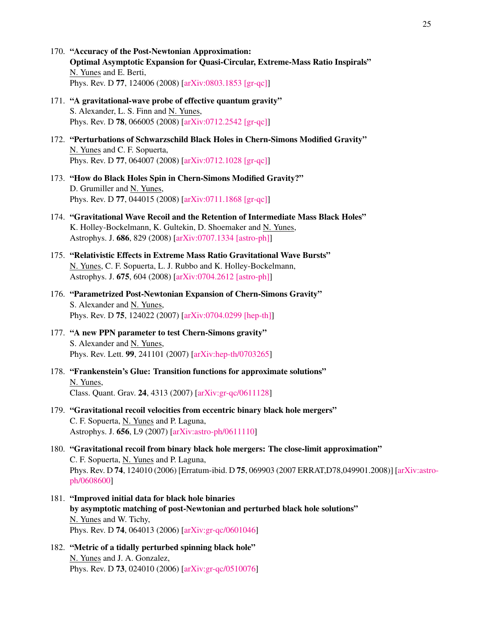- 170. "Accuracy of the Post-Newtonian Approximation: Optimal Asymptotic Expansion for Quasi-Circular, Extreme-Mass Ratio Inspirals" N. Yunes and E. Berti, Phys. Rev. D 77, 124006 (2008) [\[arXiv:0803.1853 \[gr-qc\]\]](http://arxiv.org/abs/0803.1853)
- 171. "A gravitational-wave probe of effective quantum gravity" S. Alexander, L. S. Finn and N. Yunes, Phys. Rev. D 78, 066005 (2008) [\[arXiv:0712.2542 \[gr-qc\]\]](http://arxiv.org/abs/0712.2542)
- 172. "Perturbations of Schwarzschild Black Holes in Chern-Simons Modified Gravity" N. Yunes and C. F. Sopuerta, Phys. Rev. D 77, 064007 (2008) [\[arXiv:0712.1028 \[gr-qc\]\]](http://arxiv.org/abs/0712.1028)
- 173. "How do Black Holes Spin in Chern-Simons Modified Gravity?" D. Grumiller and N. Yunes, Phys. Rev. D 77, 044015 (2008) [\[arXiv:0711.1868 \[gr-qc\]\]](http://arxiv.org/abs/0711.1868)
- 174. "Gravitational Wave Recoil and the Retention of Intermediate Mass Black Holes" K. Holley-Bockelmann, K. Gultekin, D. Shoemaker and N. Yunes, Astrophys. J. 686, 829 (2008) [\[arXiv:0707.1334 \[astro-ph\]\]](http://arxiv.org/abs/0707.1334)
- 175. "Relativistic Effects in Extreme Mass Ratio Gravitational Wave Bursts" N. Yunes, C. F. Sopuerta, L. J. Rubbo and K. Holley-Bockelmann, Astrophys. J. 675, 604 (2008) [\[arXiv:0704.2612 \[astro-ph\]\]](http://arxiv.org/abs/0704.2612)
- 176. "Parametrized Post-Newtonian Expansion of Chern-Simons Gravity" S. Alexander and N. Yunes, Phys. Rev. D 75, 124022 (2007) [\[arXiv:0704.0299 \[hep-th\]\]](http://arxiv.org/abs/0704.0299)
- 177. "A new PPN parameter to test Chern-Simons gravity" S. Alexander and N. Yunes, Phys. Rev. Lett. 99, 241101 (2007) [\[arXiv:hep-th/0703265\]](http://arxiv.org/abs/hep-th/0703265)
- 178. "Frankenstein's Glue: Transition functions for approximate solutions" N. Yunes, Class. Quant. Grav. 24, 4313 (2007) [\[arXiv:gr-qc/0611128\]](http://arxiv.org/abs/gr-qc/0611128)
- 179. "Gravitational recoil velocities from eccentric binary black hole mergers" C. F. Sopuerta, N. Yunes and P. Laguna, Astrophys. J. 656, L9 (2007) [\[arXiv:astro-ph/0611110\]](http://arxiv.org/abs/astro-ph/0611110)
- 180. "Gravitational recoil from binary black hole mergers: The close-limit approximation" C. F. Sopuerta, N. Yunes and P. Laguna, Phys. Rev. D 74, 124010 (2006) [Erratum-ibid. D 75, 069903 (2007 ERRAT,D78,049901.2008)] [\[arXiv:astro](http://arxiv.org/abs/astro-ph/0608600)[ph/0608600\]](http://arxiv.org/abs/astro-ph/0608600)
- 181. "Improved initial data for black hole binaries by asymptotic matching of post-Newtonian and perturbed black hole solutions" N. Yunes and W. Tichy, Phys. Rev. D 74, 064013 (2006) [\[arXiv:gr-qc/0601046\]](http://arxiv.org/abs/gr-qc/0601046)
- 182. "Metric of a tidally perturbed spinning black hole" N. Yunes and J. A. Gonzalez, Phys. Rev. D 73, 024010 (2006) [\[arXiv:gr-qc/0510076\]](http://arxiv.org/abs/gr-qc/0510076)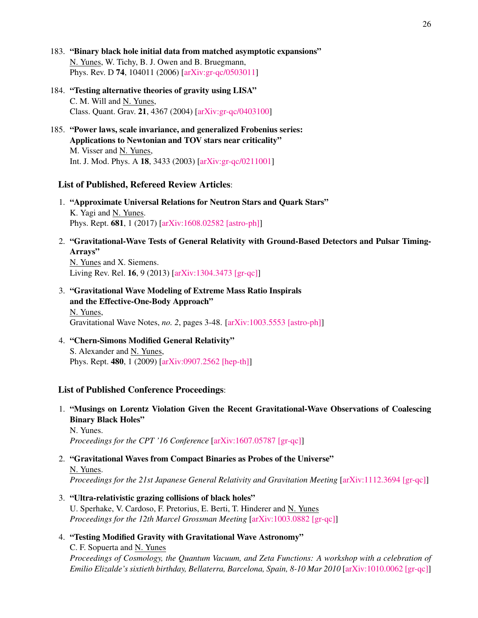- 183. "Binary black hole initial data from matched asymptotic expansions" N. Yunes, W. Tichy, B. J. Owen and B. Bruegmann, Phys. Rev. D 74, 104011 (2006) [\[arXiv:gr-qc/0503011\]](http://arxiv.org/abs/gr-qc/0503011)
- 184. "Testing alternative theories of gravity using LISA" C. M. Will and N. Yunes, Class. Quant. Grav. 21, 4367 (2004) [\[arXiv:gr-qc/0403100\]](http://arxiv.org/abs/gr-qc/0403100)
- 185. "Power laws, scale invariance, and generalized Frobenius series: Applications to Newtonian and TOV stars near criticality" M. Visser and N. Yunes, Int. J. Mod. Phys. A 18, 3433 (2003) [\[arXiv:gr-qc/0211001\]](http://arxiv.org/abs/gr-qc/0211001)

### List of Published, Refereed Review Articles:

- 1. "Approximate Universal Relations for Neutron Stars and Quark Stars" K. Yagi and N. Yunes. Phys. Rept. 681, 1 (2017) [\[arXiv:1608.02582 \[astro-ph\]\]](http://arxiv.org/abs/1608.02582)
- 2. "Gravitational-Wave Tests of General Relativity with Ground-Based Detectors and Pulsar Timing-Arrays"

N. Yunes and X. Siemens. Living Rev. Rel. 16, 9 (2013) [\[arXiv:1304.3473 \[gr-qc\]\]](http://arxiv.org/abs/1304.3473)

3. "Gravitational Wave Modeling of Extreme Mass Ratio Inspirals and the Effective-One-Body Approach" N. Yunes,

Gravitational Wave Notes, *no. 2*, pages 3-48. [\[arXiv:1003.5553 \[astro-ph\]\]](http://arxiv.org/abs/1003.5553)

4. "Chern-Simons Modified General Relativity" S. Alexander and N. Yunes, Phys. Rept. 480, 1 (2009) [\[arXiv:0907.2562 \[hep-th\]\]](http://arxiv.org/abs/0907.2562)

### List of Published Conference Proceedings:

1. "Musings on Lorentz Violation Given the Recent Gravitational-Wave Observations of Coalescing Binary Black Holes"

N. Yunes. *Proceedings for the CPT '16 Conference* [\[arXiv:1607.05787 \[gr-qc\]\]](http://arxiv.org/abs/1607.05787)

- 2. "Gravitational Waves from Compact Binaries as Probes of the Universe" N. Yunes. *Proceedings for the 21st Japanese General Relativity and Gravitation Meeting* [\[arXiv:1112.3694 \[gr-qc\]\]](http://arxiv.org/abs/1112.3694)
- 3. "Ultra-relativistic grazing collisions of black holes" U. Sperhake, V. Cardoso, F. Pretorius, E. Berti, T. Hinderer and N. Yunes *Proceedings for the 12th Marcel Grossman Meeting* [\[arXiv:1003.0882 \[gr-qc\]\]](http://arxiv.org/abs/1003.0882)
- 4. "Testing Modified Gravity with Gravitational Wave Astronomy" C. F. Sopuerta and N. Yunes *Proceedings of Cosmology, the Quantum Vacuum, and Zeta Functions: A workshop with a celebration of Emilio Elizalde's sixtieth birthday, Bellaterra, Barcelona, Spain, 8-10 Mar 2010* [\[arXiv:1010.0062 \[gr-qc\]\]](http://arxiv.org/abs/1010.0062)